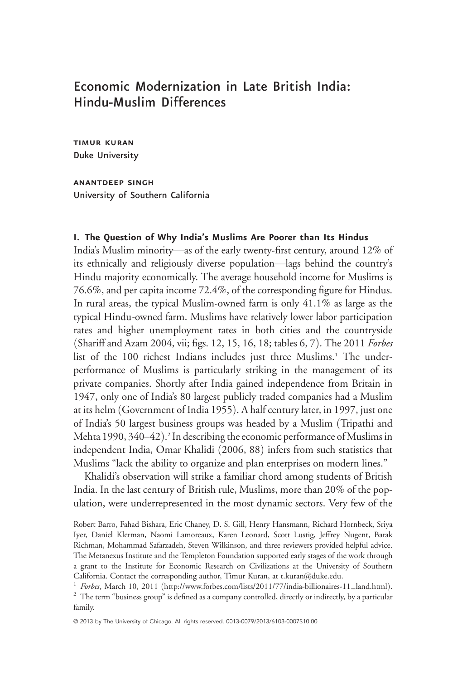# Economic Modernization in Late British India: Hindu-Muslim Differences

timur kuran Duke University

anantdeep singh University of Southern California

## I. The Question of Why India's Muslims Are Poorer than Its Hindus

India's Muslim minority—as of the early twenty-first century, around 12% of its ethnically and religiously diverse population—lags behind the country's Hindu majority economically. The average household income for Muslims is 76.6%, and per capita income 72.4%, of the corresponding figure for Hindus. In rural areas, the typical Muslim-owned farm is only 41.1% as large as the typical Hindu-owned farm. Muslims have relatively lower labor participation rates and higher unemployment rates in both cities and the countryside (Shariff and Azam 2004, vii; figs. 12, 15, 16, 18; tables 6, 7). The 2011 Forbes list of the 100 richest Indians includes just three Muslims.<sup>1</sup> The underperformance of Muslims is particularly striking in the management of its private companies. Shortly after India gained independence from Britain in 1947, only one of India's 80 largest publicly traded companies had a Muslim at its helm (Government of India 1955). A half century later, in 1997, just one of India's 50 largest business groups was headed by a Muslim (Tripathi and Mehta 1990, 340–42).<sup>2</sup> In describing the economic performance of Muslims in independent India, Omar Khalidi (2006, 88) infers from such statistics that Muslims "lack the ability to organize and plan enterprises on modern lines."

Khalidi's observation will strike a familiar chord among students of British India. In the last century of British rule, Muslims, more than 20% of the population, were underrepresented in the most dynamic sectors. Very few of the

Robert Barro, Fahad Bishara, Eric Chaney, D. S. Gill, Henry Hansmann, Richard Hornbeck, Sriya Iyer, Daniel Klerman, Naomi Lamoreaux, Karen Leonard, Scott Lustig, Jeffrey Nugent, Barak Richman, Mohammad Safarzadeh, Steven Wilkinson, and three reviewers provided helpful advice. The Metanexus Institute and the Templeton Foundation supported early stages of the work through a grant to the Institute for Economic Research on Civilizations at the University of Southern California. Contact the corresponding author, Timur Kuran, at t.kuran@duke.edu.

 $\frac{1}{2}$  Forbes, March 10, 2011 (http://www.forbes.com/lists/2011/77/india-billionaires-11\_land.html).<br><sup>2</sup> The term "business group" is defined as a company controlled, directly or indirectly, by a particular

family.

© 2013 by The University of Chicago. All rights reserved. 0013-0079/2013/6103-0007\$10.00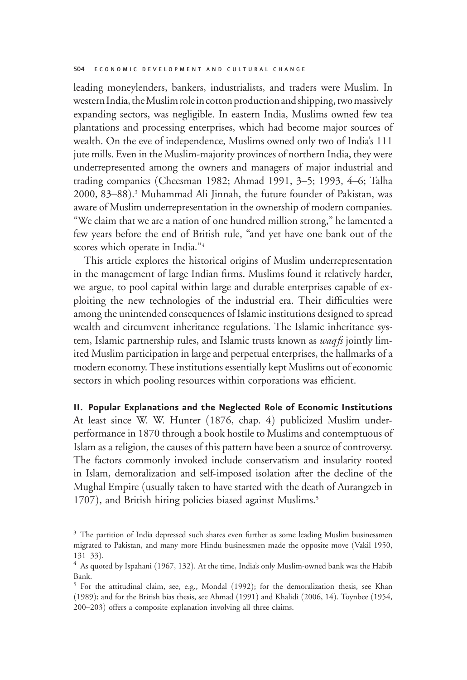leading moneylenders, bankers, industrialists, and traders were Muslim. In western India, the Muslim role in cotton production and shipping, two massively expanding sectors, was negligible. In eastern India, Muslims owned few tea plantations and processing enterprises, which had become major sources of wealth. On the eve of independence, Muslims owned only two of India's 111 jute mills. Even in the Muslim-majority provinces of northern India, they were underrepresented among the owners and managers of major industrial and trading companies (Cheesman 1982; Ahmad 1991, 3-5; 1993, 4-6; Talha 2000, 83–88).<sup>3</sup> Muhammad Ali Jinnah, the future founder of Pakistan, was aware of Muslim underrepresentation in the ownership of modern companies. "We claim that we are a nation of one hundred million strong," he lamented a few years before the end of British rule, "and yet have one bank out of the scores which operate in India."4

This article explores the historical origins of Muslim underrepresentation in the management of large Indian firms. Muslims found it relatively harder, we argue, to pool capital within large and durable enterprises capable of exploiting the new technologies of the industrial era. Their difficulties were among the unintended consequences of Islamic institutions designed to spread wealth and circumvent inheritance regulations. The Islamic inheritance system, Islamic partnership rules, and Islamic trusts known as  $w a q f s$  jointly limited Muslim participation in large and perpetual enterprises, the hallmarks of a modern economy. These institutions essentially kept Muslims out of economic sectors in which pooling resources within corporations was efficient.

II. Popular Explanations and the Neglected Role of Economic Institutions At least since W. W. Hunter (1876, chap. 4) publicized Muslim underperformance in 1870 through a book hostile to Muslims and contemptuous of Islam as a religion, the causes of this pattern have been a source of controversy. The factors commonly invoked include conservatism and insularity rooted in Islam, demoralization and self-imposed isolation after the decline of the Mughal Empire (usually taken to have started with the death of Aurangzeb in 1707), and British hiring policies biased against Muslims.<sup>5</sup>

<sup>&</sup>lt;sup>3</sup> The partition of India depressed such shares even further as some leading Muslim businessmen migrated to Pakistan, and many more Hindu businessmen made the opposite move (Vakil 1950,  $131-33$ ).

 $4$  As quoted by Ispahani (1967, 132). At the time, India's only Muslim-owned bank was the Habib Bank.

<sup>&</sup>lt;sup>5</sup> For the attitudinal claim, see, e.g., Mondal  $(1992)$ ; for the demoralization thesis, see Khan  $(1989)$ ; and for the British bias thesis, see Ahmad  $(1991)$  and Khalidi  $(2006, 14)$ . Toynbee  $(1954, 1954)$ 200–203) offers a composite explanation involving all three claims.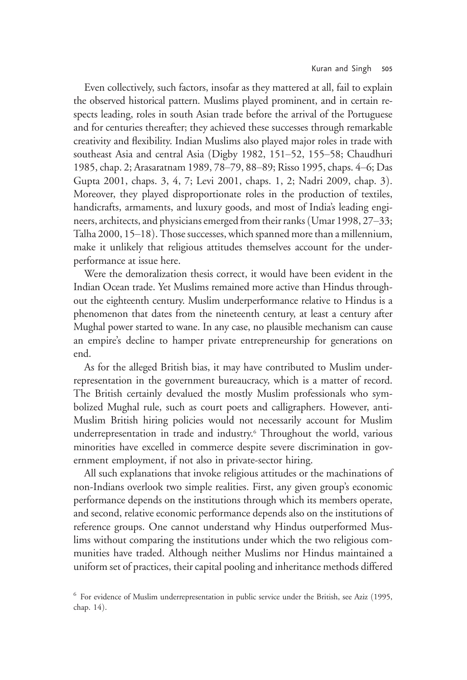Even collectively, such factors, insofar as they mattered at all, fail to explain the observed historical pattern. Muslims played prominent, and in certain respects leading, roles in south Asian trade before the arrival of the Portuguese and for centuries thereafter; they achieved these successes through remarkable creativity and flexibility. Indian Muslims also played major roles in trade with southeast Asia and central Asia (Digby 1982, 151–52, 155–58; Chaudhuri 1985, chap. 2; Arasaratnam 1989, 78–79, 88–89; Risso 1995, chaps. 4–6; Das Gupta 2001, chaps. 3, 4, 7; Levi 2001, chaps. 1, 2; Nadri 2009, chap. 3). Moreover, they played disproportionate roles in the production of textiles, handicrafts, armaments, and luxury goods, and most of India's leading engineers, architects, and physicians emerged from their ranks (Umar 1998, 27–33; Talha 2000, 15–18). Those successes, which spanned more than a millennium, make it unlikely that religious attitudes themselves account for the underperformance at issue here.

Were the demoralization thesis correct, it would have been evident in the Indian Ocean trade. Yet Muslims remained more active than Hindus throughout the eighteenth century. Muslim underperformance relative to Hindus is a phenomenon that dates from the nineteenth century, at least a century after Mughal power started to wane. In any case, no plausible mechanism can cause an empire's decline to hamper private entrepreneurship for generations on end.

As for the alleged British bias, it may have contributed to Muslim underrepresentation in the government bureaucracy, which is a matter of record. The British certainly devalued the mostly Muslim professionals who symbolized Mughal rule, such as court poets and calligraphers. However, anti-Muslim British hiring policies would not necessarily account for Muslim underrepresentation in trade and industry.6 Throughout the world, various minorities have excelled in commerce despite severe discrimination in government employment, if not also in private-sector hiring.

All such explanations that invoke religious attitudes or the machinations of non-Indians overlook two simple realities. First, any given group's economic performance depends on the institutions through which its members operate, and second, relative economic performance depends also on the institutions of reference groups. One cannot understand why Hindus outperformed Muslims without comparing the institutions under which the two religious communities have traded. Although neither Muslims nor Hindus maintained a uniform set of practices, their capital pooling and inheritance methods differed

 $6$  For evidence of Muslim underrepresentation in public service under the British, see Aziz (1995, chap.  $14$ ).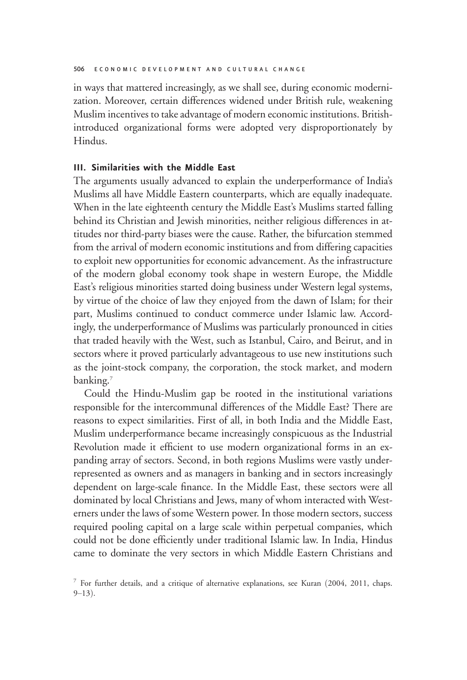in ways that mattered increasingly, as we shall see, during economic modernization. Moreover, certain differences widened under British rule, weakening Muslim incentives to take advantage of modern economic institutions. Britishintroduced organizational forms were adopted very disproportionately by Hindus.

## III. Similarities with the Middle East

The arguments usually advanced to explain the underperformance of India's Muslims all have Middle Eastern counterparts, which are equally inadequate. When in the late eighteenth century the Middle East's Muslims started falling behind its Christian and Jewish minorities, neither religious differences in attitudes nor third-party biases were the cause. Rather, the bifurcation stemmed from the arrival of modern economic institutions and from differing capacities to exploit new opportunities for economic advancement. As the infrastructure of the modern global economy took shape in western Europe, the Middle East's religious minorities started doing business under Western legal systems, by virtue of the choice of law they enjoyed from the dawn of Islam; for their part, Muslims continued to conduct commerce under Islamic law. Accordingly, the underperformance of Muslims was particularly pronounced in cities that traded heavily with the West, such as Istanbul, Cairo, and Beirut, and in sectors where it proved particularly advantageous to use new institutions such as the joint-stock company, the corporation, the stock market, and modern banking.7

Could the Hindu-Muslim gap be rooted in the institutional variations responsible for the intercommunal differences of the Middle East? There are reasons to expect similarities. First of all, in both India and the Middle East, Muslim underperformance became increasingly conspicuous as the Industrial Revolution made it efficient to use modern organizational forms in an expanding array of sectors. Second, in both regions Muslims were vastly underrepresented as owners and as managers in banking and in sectors increasingly dependent on large-scale finance. In the Middle East, these sectors were all dominated by local Christians and Jews, many of whom interacted with Westerners under the laws of some Western power. In those modern sectors, success required pooling capital on a large scale within perpetual companies, which could not be done efficiently under traditional Islamic law. In India, Hindus came to dominate the very sectors in which Middle Eastern Christians and

 $^7$  For further details, and a critique of alternative explanations, see Kuran (2004, 2011, chaps.  $9-13$ ).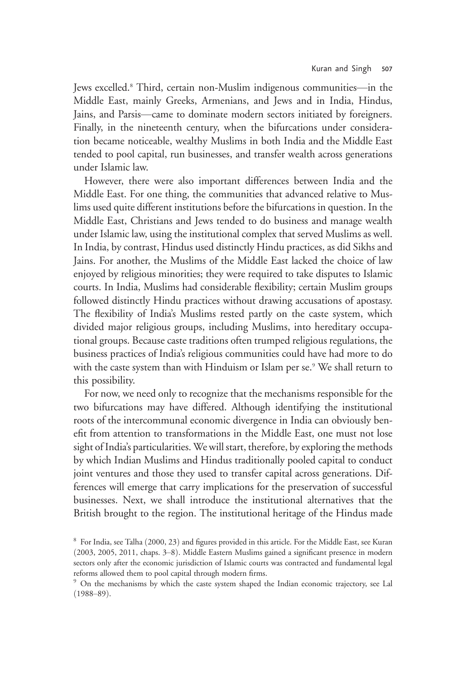Jews excelled.8 Third, certain non-Muslim indigenous communities—in the Middle East, mainly Greeks, Armenians, and Jews and in India, Hindus, Jains, and Parsis—came to dominate modern sectors initiated by foreigners. Finally, in the nineteenth century, when the bifurcations under consideration became noticeable, wealthy Muslims in both India and the Middle East tended to pool capital, run businesses, and transfer wealth across generations under Islamic law.

However, there were also important differences between India and the Middle East. For one thing, the communities that advanced relative to Muslims used quite different institutions before the bifurcations in question. In the Middle East, Christians and Jews tended to do business and manage wealth under Islamic law, using the institutional complex that served Muslims as well. In India, by contrast, Hindus used distinctly Hindu practices, as did Sikhs and Jains. For another, the Muslims of the Middle East lacked the choice of law enjoyed by religious minorities; they were required to take disputes to Islamic courts. In India, Muslims had considerable flexibility; certain Muslim groups followed distinctly Hindu practices without drawing accusations of apostasy. The flexibility of India's Muslims rested partly on the caste system, which divided major religious groups, including Muslims, into hereditary occupational groups. Because caste traditions often trumped religious regulations, the business practices of India's religious communities could have had more to do with the caste system than with Hinduism or Islam per se.<sup>9</sup> We shall return to this possibility.

For now, we need only to recognize that the mechanisms responsible for the two bifurcations may have differed. Although identifying the institutional roots of the intercommunal economic divergence in India can obviously benefit from attention to transformations in the Middle East, one must not lose sight of India's particularities. We will start, therefore, by exploring the methods by which Indian Muslims and Hindus traditionally pooled capital to conduct joint ventures and those they used to transfer capital across generations. Differences will emerge that carry implications for the preservation of successful businesses. Next, we shall introduce the institutional alternatives that the British brought to the region. The institutional heritage of the Hindus made

 $8$  For India, see Talha (2000, 23) and figures provided in this article. For the Middle East, see Kuran <sup>ð</sup>2003, 2005, 2011, chaps. 3–8Þ. Middle Eastern Muslims gained a significant presence in modern sectors only after the economic jurisdiction of Islamic courts was contracted and fundamental legal reforms allowed them to pool capital through modern firms.

<sup>9</sup> On the mechanisms by which the caste system shaped the Indian economic trajectory, see Lal  $(1988-89).$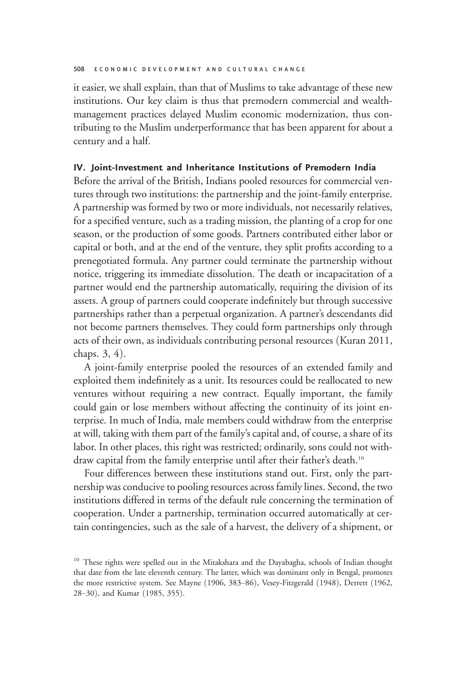it easier, we shall explain, than that of Muslims to take advantage of these new institutions. Our key claim is thus that premodern commercial and wealthmanagement practices delayed Muslim economic modernization, thus contributing to the Muslim underperformance that has been apparent for about a century and a half.

# IV. Joint-Investment and Inheritance Institutions of Premodern India

Before the arrival of the British, Indians pooled resources for commercial ventures through two institutions: the partnership and the joint-family enterprise. A partnership was formed by two or more individuals, not necessarily relatives, for a specified venture, such as a trading mission, the planting of a crop for one season, or the production of some goods. Partners contributed either labor or capital or both, and at the end of the venture, they split profits according to a prenegotiated formula. Any partner could terminate the partnership without notice, triggering its immediate dissolution. The death or incapacitation of a partner would end the partnership automatically, requiring the division of its assets. A group of partners could cooperate indefinitely but through successive partnerships rather than a perpetual organization. A partner's descendants did not become partners themselves. They could form partnerships only through acts of their own, as individuals contributing personal resources (Kuran 2011, chaps.  $3, 4$ ).

A joint-family enterprise pooled the resources of an extended family and exploited them indefinitely as a unit. Its resources could be reallocated to new ventures without requiring a new contract. Equally important, the family could gain or lose members without affecting the continuity of its joint enterprise. In much of India, male members could withdraw from the enterprise at will, taking with them part of the family's capital and, of course, a share of its labor. In other places, this right was restricted; ordinarily, sons could not withdraw capital from the family enterprise until after their father's death.10

Four differences between these institutions stand out. First, only the partnership was conducive to pooling resources across family lines. Second, the two institutions differed in terms of the default rule concerning the termination of cooperation. Under a partnership, termination occurred automatically at certain contingencies, such as the sale of a harvest, the delivery of a shipment, or

 $10$  These rights were spelled out in the Mitakshara and the Dayabagha, schools of Indian thought that date from the late eleventh century. The latter, which was dominant only in Bengal, promotes the more restrictive system. See Mayne (1906, 383-86), Vesey-Fitzgerald (1948), Derrett (1962, 28–30), and Kumar (1985, 355).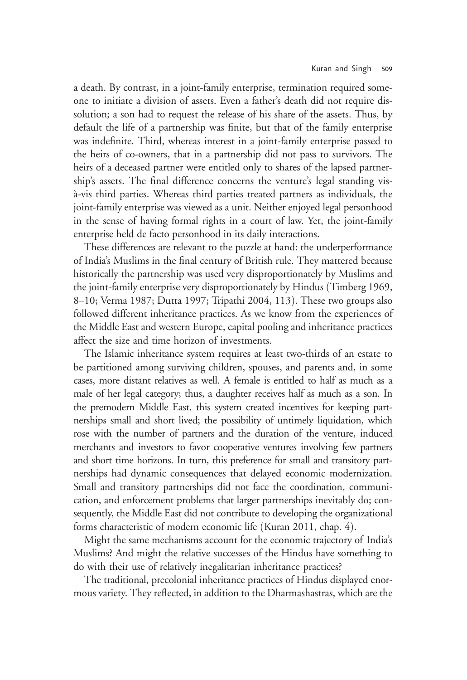a death. By contrast, in a joint-family enterprise, termination required someone to initiate a division of assets. Even a father's death did not require dissolution; a son had to request the release of his share of the assets. Thus, by default the life of a partnership was finite, but that of the family enterprise was indefinite. Third, whereas interest in a joint-family enterprise passed to the heirs of co-owners, that in a partnership did not pass to survivors. The heirs of a deceased partner were entitled only to shares of the lapsed partnership's assets. The final difference concerns the venture's legal standing visà-vis third parties. Whereas third parties treated partners as individuals, the joint-family enterprise was viewed as a unit. Neither enjoyed legal personhood in the sense of having formal rights in a court of law. Yet, the joint-family enterprise held de facto personhood in its daily interactions.

These differences are relevant to the puzzle at hand: the underperformance of India's Muslims in the final century of British rule. They mattered because historically the partnership was used very disproportionately by Muslims and the joint-family enterprise very disproportionately by Hindus (Timberg 1969, 8–10; Verma 1987; Dutta 1997; Tripathi 2004, 113). These two groups also followed different inheritance practices. As we know from the experiences of the Middle East and western Europe, capital pooling and inheritance practices affect the size and time horizon of investments.

The Islamic inheritance system requires at least two-thirds of an estate to be partitioned among surviving children, spouses, and parents and, in some cases, more distant relatives as well. A female is entitled to half as much as a male of her legal category; thus, a daughter receives half as much as a son. In the premodern Middle East, this system created incentives for keeping partnerships small and short lived; the possibility of untimely liquidation, which rose with the number of partners and the duration of the venture, induced merchants and investors to favor cooperative ventures involving few partners and short time horizons. In turn, this preference for small and transitory partnerships had dynamic consequences that delayed economic modernization. Small and transitory partnerships did not face the coordination, communication, and enforcement problems that larger partnerships inevitably do; consequently, the Middle East did not contribute to developing the organizational forms characteristic of modern economic life (Kuran 2011, chap. 4).

Might the same mechanisms account for the economic trajectory of India's Muslims? And might the relative successes of the Hindus have something to do with their use of relatively inegalitarian inheritance practices?

The traditional, precolonial inheritance practices of Hindus displayed enormous variety. They reflected, in addition to the Dharmashastras, which are the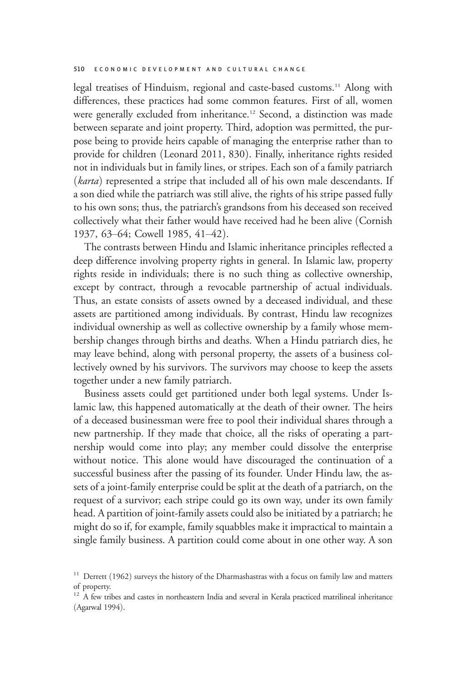legal treatises of Hinduism, regional and caste-based customs.11 Along with differences, these practices had some common features. First of all, women were generally excluded from inheritance.<sup>12</sup> Second, a distinction was made between separate and joint property. Third, adoption was permitted, the purpose being to provide heirs capable of managing the enterprise rather than to provide for children (Leonard 2011, 830). Finally, inheritance rights resided not in individuals but in family lines, or stripes. Each son of a family patriarch  $(karta)$  represented a stripe that included all of his own male descendants. If a son died while the patriarch was still alive, the rights of his stripe passed fully to his own sons; thus, the patriarch's grandsons from his deceased son received collectively what their father would have received had he been alive (Cornish 1937, 63–64; Cowell 1985, 41–42).

The contrasts between Hindu and Islamic inheritance principles reflected a deep difference involving property rights in general. In Islamic law, property rights reside in individuals; there is no such thing as collective ownership, except by contract, through a revocable partnership of actual individuals. Thus, an estate consists of assets owned by a deceased individual, and these assets are partitioned among individuals. By contrast, Hindu law recognizes individual ownership as well as collective ownership by a family whose membership changes through births and deaths. When a Hindu patriarch dies, he may leave behind, along with personal property, the assets of a business collectively owned by his survivors. The survivors may choose to keep the assets together under a new family patriarch.

Business assets could get partitioned under both legal systems. Under Islamic law, this happened automatically at the death of their owner. The heirs of a deceased businessman were free to pool their individual shares through a new partnership. If they made that choice, all the risks of operating a partnership would come into play; any member could dissolve the enterprise without notice. This alone would have discouraged the continuation of a successful business after the passing of its founder. Under Hindu law, the assets of a joint-family enterprise could be split at the death of a patriarch, on the request of a survivor; each stripe could go its own way, under its own family head. A partition of joint-family assets could also be initiated by a patriarch; he might do so if, for example, family squabbles make it impractical to maintain a single family business. A partition could come about in one other way. A son

 $11$  Derrett (1962) surveys the history of the Dharmashastras with a focus on family law and matters of property.

<sup>&</sup>lt;sup>12</sup> A few tribes and castes in northeastern India and several in Kerala practiced matrilineal inheritance  $(Aqarwal 1994).$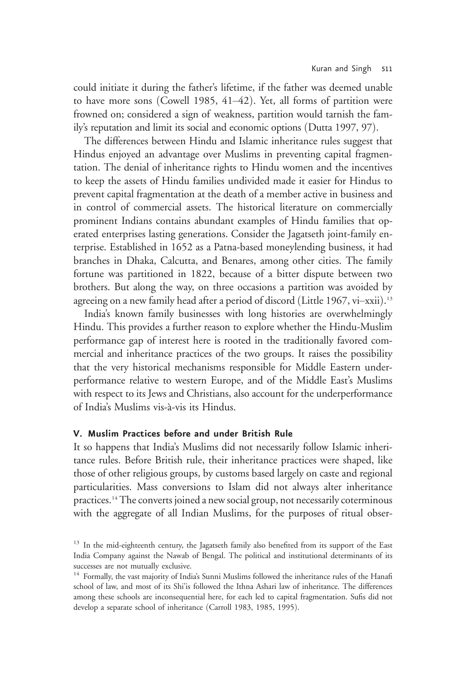could initiate it during the father's lifetime, if the father was deemed unable to have more sons (Cowell 1985,  $41-42$ ). Yet, all forms of partition were frowned on; considered a sign of weakness, partition would tarnish the family's reputation and limit its social and economic options (Dutta 1997, 97).

The differences between Hindu and Islamic inheritance rules suggest that Hindus enjoyed an advantage over Muslims in preventing capital fragmentation. The denial of inheritance rights to Hindu women and the incentives to keep the assets of Hindu families undivided made it easier for Hindus to prevent capital fragmentation at the death of a member active in business and in control of commercial assets. The historical literature on commercially prominent Indians contains abundant examples of Hindu families that operated enterprises lasting generations. Consider the Jagatseth joint-family enterprise. Established in 1652 as a Patna-based moneylending business, it had branches in Dhaka, Calcutta, and Benares, among other cities. The family fortune was partitioned in 1822, because of a bitter dispute between two brothers. But along the way, on three occasions a partition was avoided by agreeing on a new family head after a period of discord (Little 1967, vi–xxii).<sup>13</sup>

India's known family businesses with long histories are overwhelmingly Hindu. This provides a further reason to explore whether the Hindu-Muslim performance gap of interest here is rooted in the traditionally favored commercial and inheritance practices of the two groups. It raises the possibility that the very historical mechanisms responsible for Middle Eastern underperformance relative to western Europe, and of the Middle East's Muslims with respect to its Jews and Christians, also account for the underperformance of India's Muslims vis-à-vis its Hindus.

# V. Muslim Practices before and under British Rule

It so happens that India's Muslims did not necessarily follow Islamic inheritance rules. Before British rule, their inheritance practices were shaped, like those of other religious groups, by customs based largely on caste and regional particularities. Mass conversions to Islam did not always alter inheritance practices.14The converts joined a new social group, not necessarily coterminous with the aggregate of all Indian Muslims, for the purposes of ritual obser-

<sup>&</sup>lt;sup>13</sup> In the mid-eighteenth century, the Jagatseth family also benefited from its support of the East India Company against the Nawab of Bengal. The political and institutional determinants of its successes are not mutually exclusive.

<sup>&</sup>lt;sup>14</sup> Formally, the vast majority of India's Sunni Muslims followed the inheritance rules of the Hanafi school of law, and most of its Shi'is followed the Ithna Ashari law of inheritance. The differences among these schools are inconsequential here, for each led to capital fragmentation. Sufis did not develop a separate school of inheritance (Carroll 1983, 1985, 1995).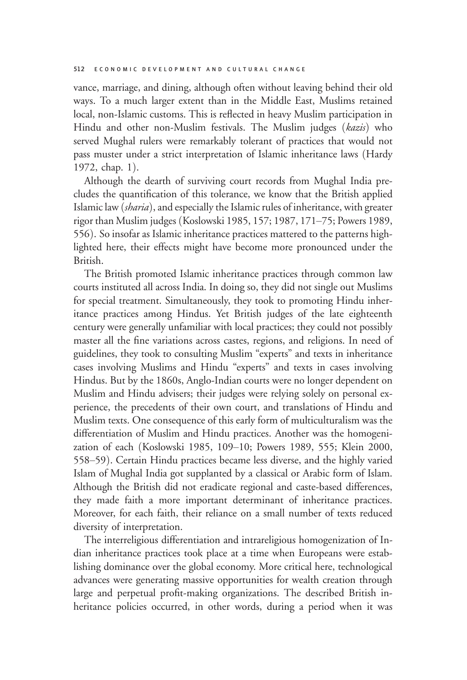vance, marriage, and dining, although often without leaving behind their old ways. To a much larger extent than in the Middle East, Muslims retained local, non-Islamic customs. This is reflected in heavy Muslim participation in Hindu and other non-Muslim festivals. The Muslim judges (kazis) who served Mughal rulers were remarkably tolerant of practices that would not pass muster under a strict interpretation of Islamic inheritance laws (Hardy 1972, chap. 1).

Although the dearth of surviving court records from Mughal India precludes the quantification of this tolerance, we know that the British applied Islamic law (*sharia*), and especially the Islamic rules of inheritance, with greater rigor than Muslim judges (Koslowski 1985, 157; 1987, 171–75; Powers 1989, 556). So insofar as Islamic inheritance practices mattered to the patterns highlighted here, their effects might have become more pronounced under the British.

The British promoted Islamic inheritance practices through common law courts instituted all across India. In doing so, they did not single out Muslims for special treatment. Simultaneously, they took to promoting Hindu inheritance practices among Hindus. Yet British judges of the late eighteenth century were generally unfamiliar with local practices; they could not possibly master all the fine variations across castes, regions, and religions. In need of guidelines, they took to consulting Muslim "experts" and texts in inheritance cases involving Muslims and Hindu "experts" and texts in cases involving Hindus. But by the 1860s, Anglo-Indian courts were no longer dependent on Muslim and Hindu advisers; their judges were relying solely on personal experience, the precedents of their own court, and translations of Hindu and Muslim texts. One consequence of this early form of multiculturalism was the differentiation of Muslim and Hindu practices. Another was the homogenization of each (Koslowski 1985, 109–10; Powers 1989, 555; Klein 2000, 558–59). Certain Hindu practices became less diverse, and the highly varied Islam of Mughal India got supplanted by a classical or Arabic form of Islam. Although the British did not eradicate regional and caste-based differences, they made faith a more important determinant of inheritance practices. Moreover, for each faith, their reliance on a small number of texts reduced diversity of interpretation.

The interreligious differentiation and intrareligious homogenization of Indian inheritance practices took place at a time when Europeans were establishing dominance over the global economy. More critical here, technological advances were generating massive opportunities for wealth creation through large and perpetual profit-making organizations. The described British inheritance policies occurred, in other words, during a period when it was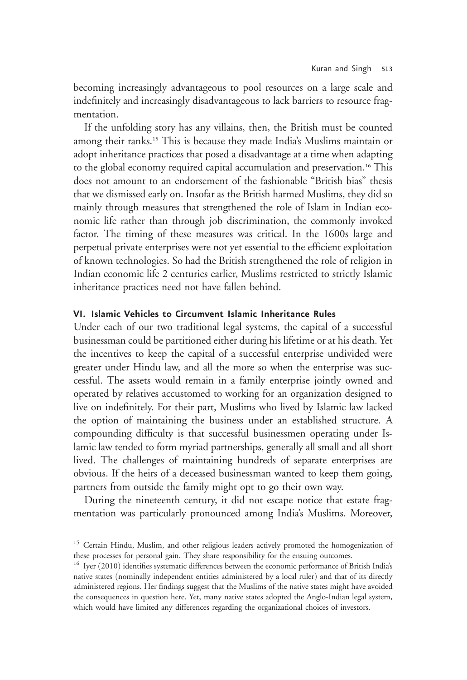becoming increasingly advantageous to pool resources on a large scale and indefinitely and increasingly disadvantageous to lack barriers to resource fragmentation.

If the unfolding story has any villains, then, the British must be counted among their ranks.15 This is because they made India's Muslims maintain or adopt inheritance practices that posed a disadvantage at a time when adapting to the global economy required capital accumulation and preservation.<sup>16</sup> This does not amount to an endorsement of the fashionable "British bias" thesis that we dismissed early on. Insofar as the British harmed Muslims, they did so mainly through measures that strengthened the role of Islam in Indian economic life rather than through job discrimination, the commonly invoked factor. The timing of these measures was critical. In the 1600s large and perpetual private enterprises were not yet essential to the efficient exploitation of known technologies. So had the British strengthened the role of religion in Indian economic life 2 centuries earlier, Muslims restricted to strictly Islamic inheritance practices need not have fallen behind.

## VI. Islamic Vehicles to Circumvent Islamic Inheritance Rules

Under each of our two traditional legal systems, the capital of a successful businessman could be partitioned either during his lifetime or at his death. Yet the incentives to keep the capital of a successful enterprise undivided were greater under Hindu law, and all the more so when the enterprise was successful. The assets would remain in a family enterprise jointly owned and operated by relatives accustomed to working for an organization designed to live on indefinitely. For their part, Muslims who lived by Islamic law lacked the option of maintaining the business under an established structure. A compounding difficulty is that successful businessmen operating under Islamic law tended to form myriad partnerships, generally all small and all short lived. The challenges of maintaining hundreds of separate enterprises are obvious. If the heirs of a deceased businessman wanted to keep them going, partners from outside the family might opt to go their own way.

During the nineteenth century, it did not escape notice that estate fragmentation was particularly pronounced among India's Muslims. Moreover,

<sup>&</sup>lt;sup>15</sup> Certain Hindu, Muslim, and other religious leaders actively promoted the homogenization of these processes for personal gain. They share responsibility for the ensuing outcomes.

<sup>&</sup>lt;sup>16</sup> Iver (2010) identifies systematic differences between the economic performance of British India's native states (nominally independent entities administered by a local ruler) and that of its directly administered regions. Her findings suggest that the Muslims of the native states might have avoided the consequences in question here. Yet, many native states adopted the Anglo-Indian legal system, which would have limited any differences regarding the organizational choices of investors.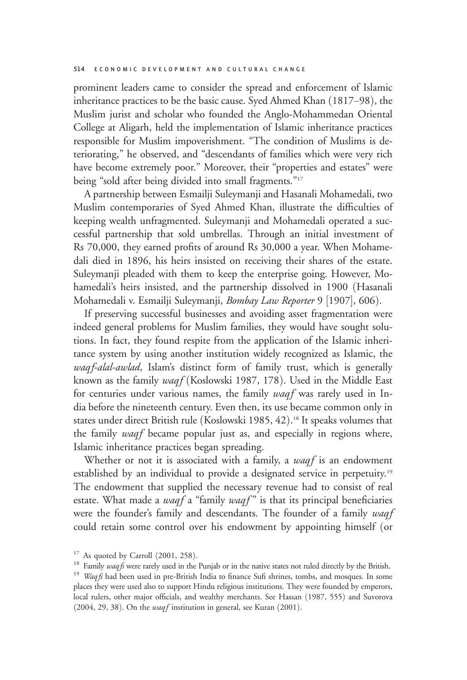prominent leaders came to consider the spread and enforcement of Islamic inheritance practices to be the basic cause. Syed Ahmed Khan  $(1817–98)$ , the Muslim jurist and scholar who founded the Anglo-Mohammedan Oriental College at Aligarh, held the implementation of Islamic inheritance practices responsible for Muslim impoverishment. "The condition of Muslims is deteriorating," he observed, and "descendants of families which were very rich have become extremely poor." Moreover, their "properties and estates" were being "sold after being divided into small fragments."<sup>17</sup>

A partnership between Esmailji Suleymanji and Hasanali Mohamedali, two Muslim contemporaries of Syed Ahmed Khan, illustrate the difficulties of keeping wealth unfragmented. Suleymanji and Mohamedali operated a successful partnership that sold umbrellas. Through an initial investment of Rs 70,000, they earned profits of around Rs 30,000 a year. When Mohamedali died in 1896, his heirs insisted on receiving their shares of the estate. Suleymanji pleaded with them to keep the enterprise going. However, Mohamedali's heirs insisted, and the partnership dissolved in 1900 (Hasanali Mohamedali v. Esmailji Suleymanji, *Bombay Law Reporter* 9 [1907], 606).

If preserving successful businesses and avoiding asset fragmentation were indeed general problems for Muslim families, they would have sought solutions. In fact, they found respite from the application of the Islamic inheritance system by using another institution widely recognized as Islamic, the waqf-alal-awlad, Islam's distinct form of family trust, which is generally known as the family waqf (Koslowski 1987, 178). Used in the Middle East for centuries under various names, the family waqf was rarely used in India before the nineteenth century. Even then, its use became common only in states under direct British rule (Koslowski 1985, 42).<sup>18</sup> It speaks volumes that the family *waqf* became popular just as, and especially in regions where, Islamic inheritance practices began spreading.

Whether or not it is associated with a family, a waqf is an endowment established by an individual to provide a designated service in perpetuity.<sup>19</sup> The endowment that supplied the necessary revenue had to consist of real estate. What made a waqf a "family waqf" is that its principal beneficiaries were the founder's family and descendants. The founder of a family waqf could retain some control over his endowment by appointing himself (or

<sup>&</sup>lt;sup>17</sup> As quoted by Carroll (2001, 258).<br><sup>18</sup> Family waqfs were rarely used in the Punjab or in the native states not ruled directly by the British. <sup>19</sup> Waqfs had been used in pre-British India to finance Sufi shrines, tombs, and mosques. In some places they were used also to support Hindu religious institutions. They were founded by emperors, local rulers, other major officials, and wealthy merchants. See Hassan (1987, 555) and Suvorova  $(2004, 29, 38)$ . On the *waqf* institution in general, see Kuran  $(2001)$ .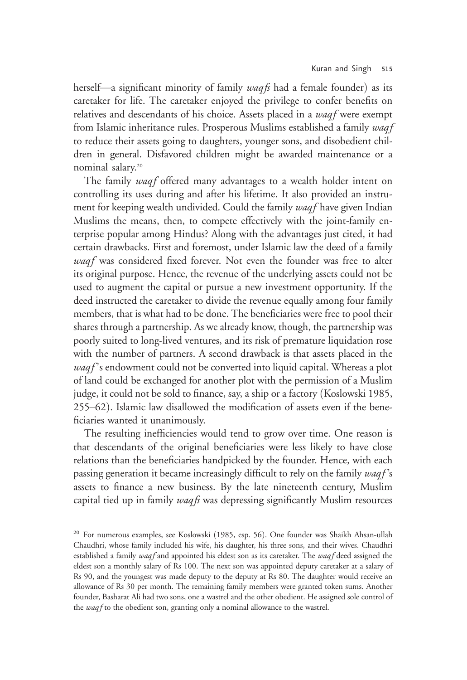herself—a significant minority of family  $w a q f s$  had a female founder) as its caretaker for life. The caretaker enjoyed the privilege to confer benefits on relatives and descendants of his choice. Assets placed in a waqf were exempt from Islamic inheritance rules. Prosperous Muslims established a family waqf to reduce their assets going to daughters, younger sons, and disobedient children in general. Disfavored children might be awarded maintenance or a nominal salary.20

The family waqf offered many advantages to a wealth holder intent on controlling its uses during and after his lifetime. It also provided an instrument for keeping wealth undivided. Could the family waqf have given Indian Muslims the means, then, to compete effectively with the joint-family enterprise popular among Hindus? Along with the advantages just cited, it had certain drawbacks. First and foremost, under Islamic law the deed of a family waqf was considered fixed forever. Not even the founder was free to alter its original purpose. Hence, the revenue of the underlying assets could not be used to augment the capital or pursue a new investment opportunity. If the deed instructed the caretaker to divide the revenue equally among four family members, that is what had to be done. The beneficiaries were free to pool their shares through a partnership. As we already know, though, the partnership was poorly suited to long-lived ventures, and its risk of premature liquidation rose with the number of partners. A second drawback is that assets placed in the waqf's endowment could not be converted into liquid capital. Whereas a plot of land could be exchanged for another plot with the permission of a Muslim judge, it could not be sold to finance, say, a ship or a factory (Koslowski 1985, 255–62). Islamic law disallowed the modification of assets even if the beneficiaries wanted it unanimously.

The resulting inefficiencies would tend to grow over time. One reason is that descendants of the original beneficiaries were less likely to have close relations than the beneficiaries handpicked by the founder. Hence, with each passing generation it became increasingly difficult to rely on the family waqf's assets to finance a new business. By the late nineteenth century, Muslim capital tied up in family waqfs was depressing significantly Muslim resources

<sup>&</sup>lt;sup>20</sup> For numerous examples, see Koslowski (1985, esp. 56). One founder was Shaikh Ahsan-ullah Chaudhri, whose family included his wife, his daughter, his three sons, and their wives. Chaudhri established a family waqf and appointed his eldest son as its caretaker. The waqf deed assigned the eldest son a monthly salary of Rs 100. The next son was appointed deputy caretaker at a salary of Rs 90, and the youngest was made deputy to the deputy at Rs 80. The daughter would receive an allowance of Rs 30 per month. The remaining family members were granted token sums. Another founder, Basharat Ali had two sons, one a wastrel and the other obedient. He assigned sole control of the waqf to the obedient son, granting only a nominal allowance to the wastrel.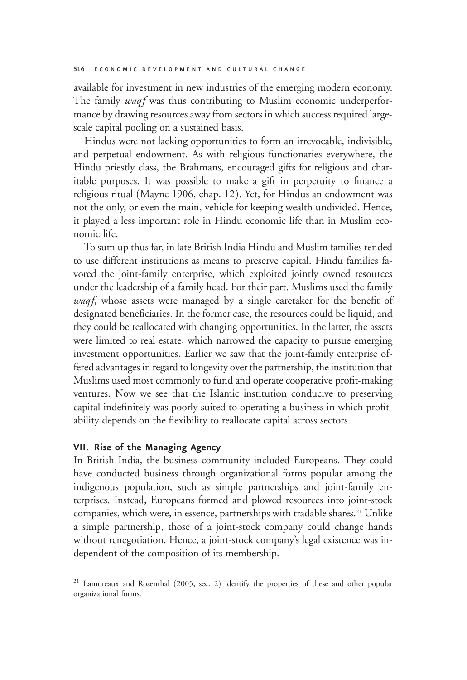available for investment in new industries of the emerging modern economy. The family waqf was thus contributing to Muslim economic underperformance by drawing resources away from sectors in which success required largescale capital pooling on a sustained basis.

Hindus were not lacking opportunities to form an irrevocable, indivisible, and perpetual endowment. As with religious functionaries everywhere, the Hindu priestly class, the Brahmans, encouraged gifts for religious and charitable purposes. It was possible to make a gift in perpetuity to finance a religious ritual (Mayne 1906, chap. 12). Yet, for Hindus an endowment was not the only, or even the main, vehicle for keeping wealth undivided. Hence, it played a less important role in Hindu economic life than in Muslim economic life.

To sum up thus far, in late British India Hindu and Muslim families tended to use different institutions as means to preserve capital. Hindu families favored the joint-family enterprise, which exploited jointly owned resources under the leadership of a family head. For their part, Muslims used the family waqf, whose assets were managed by a single caretaker for the benefit of designated beneficiaries. In the former case, the resources could be liquid, and they could be reallocated with changing opportunities. In the latter, the assets were limited to real estate, which narrowed the capacity to pursue emerging investment opportunities. Earlier we saw that the joint-family enterprise offered advantages in regard to longevity over the partnership, the institution that Muslims used most commonly to fund and operate cooperative profit-making ventures. Now we see that the Islamic institution conducive to preserving capital indefinitely was poorly suited to operating a business in which profitability depends on the flexibility to reallocate capital across sectors.

## VII. Rise of the Managing Agency

In British India, the business community included Europeans. They could have conducted business through organizational forms popular among the indigenous population, such as simple partnerships and joint-family enterprises. Instead, Europeans formed and plowed resources into joint-stock companies, which were, in essence, partnerships with tradable shares.<sup>21</sup> Unlike a simple partnership, those of a joint-stock company could change hands without renegotiation. Hence, a joint-stock company's legal existence was independent of the composition of its membership.

 $21$  Lamoreaux and Rosenthal (2005, sec. 2) identify the properties of these and other popular organizational forms.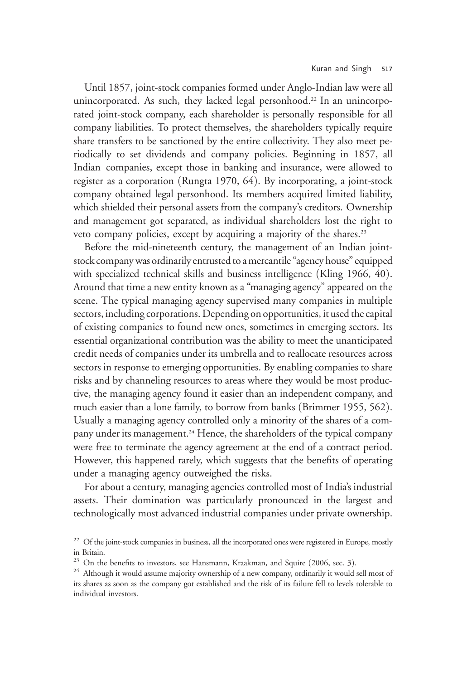Until 1857, joint-stock companies formed under Anglo-Indian law were all unincorporated. As such, they lacked legal personhood.<sup>22</sup> In an unincorporated joint-stock company, each shareholder is personally responsible for all company liabilities. To protect themselves, the shareholders typically require share transfers to be sanctioned by the entire collectivity. They also meet periodically to set dividends and company policies. Beginning in 1857, all Indian companies, except those in banking and insurance, were allowed to register as a corporation (Rungta 1970, 64). By incorporating, a joint-stock company obtained legal personhood. Its members acquired limited liability, which shielded their personal assets from the company's creditors. Ownership and management got separated, as individual shareholders lost the right to veto company policies, except by acquiring a majority of the shares.<sup>23</sup>

Before the mid-nineteenth century, the management of an Indian jointstock company was ordinarily entrusted to a mercantile"agency house"equipped with specialized technical skills and business intelligence (Kling 1966, 40). Around that time a new entity known as a "managing agency" appeared on the scene. The typical managing agency supervised many companies in multiple sectors, including corporations. Depending on opportunities, it used the capital of existing companies to found new ones, sometimes in emerging sectors. Its essential organizational contribution was the ability to meet the unanticipated credit needs of companies under its umbrella and to reallocate resources across sectors in response to emerging opportunities. By enabling companies to share risks and by channeling resources to areas where they would be most productive, the managing agency found it easier than an independent company, and much easier than a lone family, to borrow from banks (Brimmer 1955, 562). Usually a managing agency controlled only a minority of the shares of a company under its management.<sup>24</sup> Hence, the shareholders of the typical company were free to terminate the agency agreement at the end of a contract period. However, this happened rarely, which suggests that the benefits of operating under a managing agency outweighed the risks.

For about a century, managing agencies controlled most of India's industrial assets. Their domination was particularly pronounced in the largest and technologically most advanced industrial companies under private ownership.

<sup>&</sup>lt;sup>22</sup> Of the joint-stock companies in business, all the incorporated ones were registered in Europe, mostly in Britain.<br><sup>23</sup> On the benefits to investors, see Hansmann, Kraakman, and Squire (2006, sec. 3).

<sup>&</sup>lt;sup>24</sup> Although it would assume majority ownership of a new company, ordinarily it would sell most of its shares as soon as the company got established and the risk of its failure fell to levels tolerable to individual investors.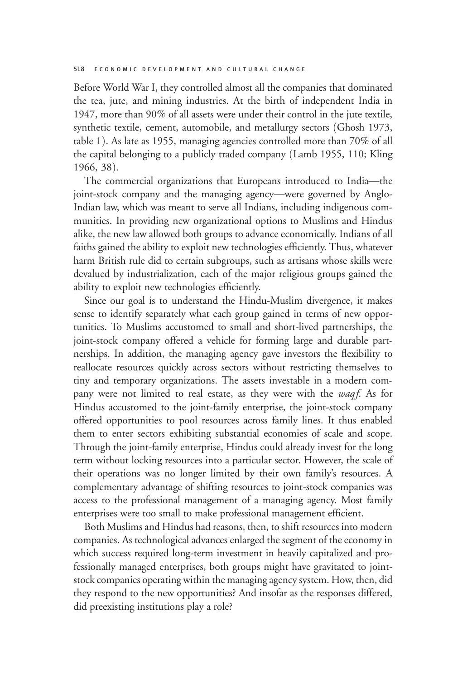Before World War I, they controlled almost all the companies that dominated the tea, jute, and mining industries. At the birth of independent India in 1947, more than 90% of all assets were under their control in the jute textile, synthetic textile, cement, automobile, and metallurgy sectors (Ghosh 1973, table 1). As late as 1955, managing agencies controlled more than  $70\%$  of all the capital belonging to a publicly traded company (Lamb 1955, 110; Kling 1966, 38).

The commercial organizations that Europeans introduced to India—the joint-stock company and the managing agency—were governed by Anglo-Indian law, which was meant to serve all Indians, including indigenous communities. In providing new organizational options to Muslims and Hindus alike, the new law allowed both groups to advance economically. Indians of all faiths gained the ability to exploit new technologies efficiently. Thus, whatever harm British rule did to certain subgroups, such as artisans whose skills were devalued by industrialization, each of the major religious groups gained the ability to exploit new technologies efficiently.

Since our goal is to understand the Hindu-Muslim divergence, it makes sense to identify separately what each group gained in terms of new opportunities. To Muslims accustomed to small and short-lived partnerships, the joint-stock company offered a vehicle for forming large and durable partnerships. In addition, the managing agency gave investors the flexibility to reallocate resources quickly across sectors without restricting themselves to tiny and temporary organizations. The assets investable in a modern company were not limited to real estate, as they were with the *waqf*. As for Hindus accustomed to the joint-family enterprise, the joint-stock company offered opportunities to pool resources across family lines. It thus enabled them to enter sectors exhibiting substantial economies of scale and scope. Through the joint-family enterprise, Hindus could already invest for the long term without locking resources into a particular sector. However, the scale of their operations was no longer limited by their own family's resources. A complementary advantage of shifting resources to joint-stock companies was access to the professional management of a managing agency. Most family enterprises were too small to make professional management efficient.

Both Muslims and Hindus had reasons, then, to shift resources into modern companies. As technological advances enlarged the segment of the economy in which success required long-term investment in heavily capitalized and professionally managed enterprises, both groups might have gravitated to jointstock companies operating within the managing agency system. How, then, did they respond to the new opportunities? And insofar as the responses differed, did preexisting institutions play a role?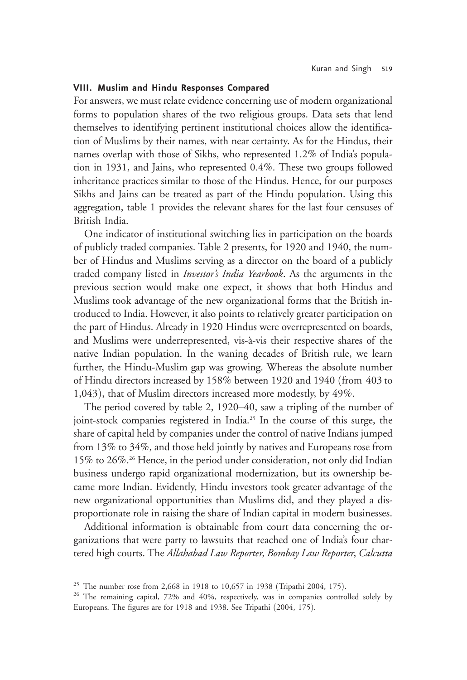## VIII. Muslim and Hindu Responses Compared

For answers, we must relate evidence concerning use of modern organizational forms to population shares of the two religious groups. Data sets that lend themselves to identifying pertinent institutional choices allow the identification of Muslims by their names, with near certainty. As for the Hindus, their names overlap with those of Sikhs, who represented 1.2% of India's population in 1931, and Jains, who represented 0.4%. These two groups followed inheritance practices similar to those of the Hindus. Hence, for our purposes Sikhs and Jains can be treated as part of the Hindu population. Using this aggregation, table 1 provides the relevant shares for the last four censuses of British India.

One indicator of institutional switching lies in participation on the boards of publicly traded companies. Table 2 presents, for 1920 and 1940, the number of Hindus and Muslims serving as a director on the board of a publicly traded company listed in *Investor's India Yearbook*. As the arguments in the previous section would make one expect, it shows that both Hindus and Muslims took advantage of the new organizational forms that the British introduced to India. However, it also points to relatively greater participation on the part of Hindus. Already in 1920 Hindus were overrepresented on boards, and Muslims were underrepresented, vis-à-vis their respective shares of the native Indian population. In the waning decades of British rule, we learn further, the Hindu-Muslim gap was growing. Whereas the absolute number of Hindu directors increased by 158% between 1920 and 1940 (from 403 to  $1,043$ ), that of Muslim directors increased more modestly, by  $49\%$ .

The period covered by table 2, 1920–40, saw a tripling of the number of joint-stock companies registered in India.25 In the course of this surge, the share of capital held by companies under the control of native Indians jumped from 13% to 34%, and those held jointly by natives and Europeans rose from 15% to 26%. <sup>26</sup> Hence, in the period under consideration, not only did Indian business undergo rapid organizational modernization, but its ownership became more Indian. Evidently, Hindu investors took greater advantage of the new organizational opportunities than Muslims did, and they played a disproportionate role in raising the share of Indian capital in modern businesses.

Additional information is obtainable from court data concerning the organizations that were party to lawsuits that reached one of India's four chartered high courts. The Allahabad Law Reporter, Bombay Law Reporter, Calcutta

<sup>&</sup>lt;sup>25</sup> The number rose from 2,668 in 1918 to 10,657 in 1938 (Tripathi 2004, 175).<br><sup>26</sup> The remaining capital, 72% and 40%, respectively, was in companies controlled solely by Europeans. The figures are for 1918 and 1938. See Tripathi (2004, 175).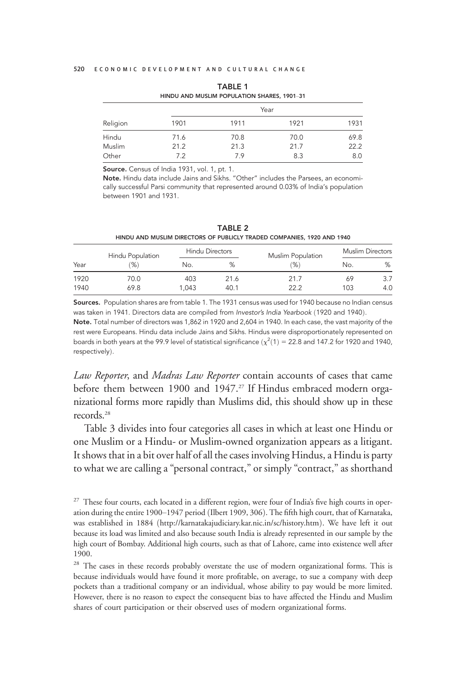| Religion |      |      | Year |      |
|----------|------|------|------|------|
|          | 1901 | 1911 | 1921 | 1931 |
| Hindu    | 71.6 | 70.8 | 70.0 | 69.8 |
| Muslim   | 21.2 | 21.3 | 21.7 | 22.2 |
| Other    | 7.2  | 7.9  | 8.3  | 8.0  |

TABLE 1 HINDU AND MUSLIM POPULATION SHARES, 1901–31

Source. Census of India 1931, vol. 1, pt. 1.

Note. Hindu data include Jains and Sikhs. "Other" includes the Parsees, an economically successful Parsi community that represented around 0.03% of India's population between 1901 and 1931.

| HINDU AND MUSLIM DIRECTORS OF PUBLICLY TRADED COMPANIES, 1920 AND 1940 |                  |                        |      |                   |                         |     |  |  |  |  |
|------------------------------------------------------------------------|------------------|------------------------|------|-------------------|-------------------------|-----|--|--|--|--|
| Year                                                                   | Hindu Population | <b>Hindu Directors</b> |      | Muslim Population | <b>Muslim Directors</b> |     |  |  |  |  |
|                                                                        | %)               | No.                    | %    | %)                | No.                     | %   |  |  |  |  |
| 1920                                                                   | 70.0             | 403                    | 21.6 | 21.7              | 69                      | 3.7 |  |  |  |  |
| 1940                                                                   | 69.8             | 1.043                  | 40.1 | 22 2              | 103                     | 4.0 |  |  |  |  |

TABLE 2

Sources. Population shares are from table 1. The 1931 census was used for 1940 because no Indian census was taken in 1941. Directors data are compiled from Investor's India Yearbook (1920 and 1940).

Note. Total number of directors was 1,862 in 1920 and 2,604 in 1940. In each case, the vast majority of the rest were Europeans. Hindu data include Jains and Sikhs. Hindus were disproportionately represented on boards in both years at the 99.9 level of statistical significance  $(\chi^2(1)=22.8$  and 147.2 for 1920 and 1940, respectively).

Law Reporter, and Madras Law Reporter contain accounts of cases that came before them between 1900 and 1947.<sup>27</sup> If Hindus embraced modern organizational forms more rapidly than Muslims did, this should show up in these records<sup>28</sup>

Table 3 divides into four categories all cases in which at least one Hindu or one Muslim or a Hindu- or Muslim-owned organization appears as a litigant. It shows that in a bit over half of all the cases involving Hindus, a Hindu is party to what we are calling a "personal contract," or simply "contract," as shorthand

<sup>28</sup> The cases in these records probably overstate the use of modern organizational forms. This is because individuals would have found it more profitable, on average, to sue a company with deep pockets than a traditional company or an individual, whose ability to pay would be more limited. However, there is no reason to expect the consequent bias to have affected the Hindu and Muslim shares of court participation or their observed uses of modern organizational forms.

<sup>&</sup>lt;sup>27</sup> These four courts, each located in a different region, were four of India's five high courts in operation during the entire 1900–1947 period (Ilbert 1909, 306). The fifth high court, that of Karnataka, was established in 1884 (http://karnatakajudiciary.kar.nic.in/sc/history.htm). We have left it out because its load was limited and also because south India is already represented in our sample by the high court of Bombay. Additional high courts, such as that of Lahore, came into existence well after 1900.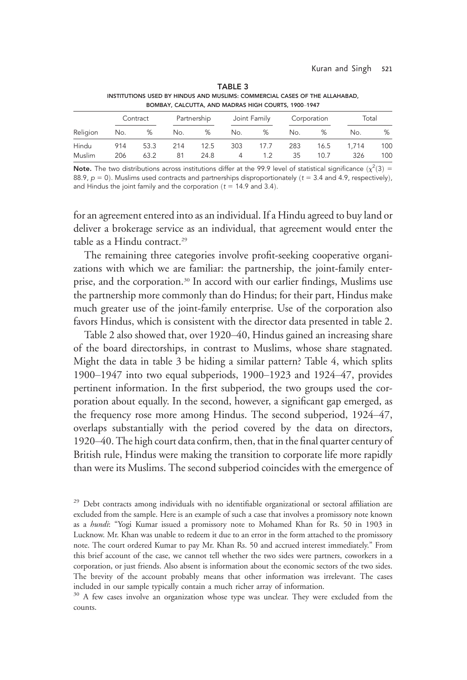|          | INSTITUTIONS USED BY HINDUS AND MUSLIMS: COMMERCIAL CASES OF THE ALLAHABAD.<br>BOMBAY, CALCUTTA, AND MADRAS HIGH COURTS, 1900-1947 |      |             |      |              |      |             |      |       |     |  |  |  |
|----------|------------------------------------------------------------------------------------------------------------------------------------|------|-------------|------|--------------|------|-------------|------|-------|-----|--|--|--|
| Religion | Contract                                                                                                                           |      | Partnership |      | Joint Family |      | Corporation |      | Total |     |  |  |  |
|          | No.                                                                                                                                | ℅    | No.         | ℅    | No.          | ℅    | No.         | %    | No.   | ℅   |  |  |  |
| Hindu    | 914                                                                                                                                | 53.3 | 214         | 12.5 | 303          | 17.7 | 283         | 16.5 | 1.714 | 100 |  |  |  |
| Muslim   | 206                                                                                                                                | 63.2 | 81          | 24.8 | 4            | 1.2  | 35          | 10.7 | 326   | 100 |  |  |  |

TABLE 3

**Note.** The two distributions across institutions differ at the 99.9 level of statistical significance  $(\chi^2(3) =$ 88.9,  $p = 0$ ). Muslims used contracts and partnerships disproportionately ( $t = 3.4$  and 4.9, respectively), and Hindus the joint family and the corporation  $(t = 14.9$  and 3.4).

for an agreement entered into as an individual. If a Hindu agreed to buy land or deliver a brokerage service as an individual, that agreement would enter the table as a Hindu contract.<sup>29</sup>

The remaining three categories involve profit-seeking cooperative organizations with which we are familiar: the partnership, the joint-family enterprise, and the corporation.30 In accord with our earlier findings, Muslims use the partnership more commonly than do Hindus; for their part, Hindus make much greater use of the joint-family enterprise. Use of the corporation also favors Hindus, which is consistent with the director data presented in table 2.

Table 2 also showed that, over 1920–40, Hindus gained an increasing share of the board directorships, in contrast to Muslims, whose share stagnated. Might the data in table 3 be hiding a similar pattern? Table 4, which splits 1900–1947 into two equal subperiods, 1900–1923 and 1924–47, provides pertinent information. In the first subperiod, the two groups used the corporation about equally. In the second, however, a significant gap emerged, as the frequency rose more among Hindus. The second subperiod, 1924–47, overlaps substantially with the period covered by the data on directors, 1920–40. The high court data confirm, then, that in the final quarter century of British rule, Hindus were making the transition to corporate life more rapidly than were its Muslims. The second subperiod coincides with the emergence of

<sup>30</sup> A few cases involve an organization whose type was unclear. They were excluded from the counts.

<sup>&</sup>lt;sup>29</sup> Debt contracts among individuals with no identifiable organizational or sectoral affiliation are excluded from the sample. Here is an example of such a case that involves a promissory note known as a hundi: "Yogi Kumar issued a promissory note to Mohamed Khan for Rs. 50 in 1903 in Lucknow. Mr. Khan was unable to redeem it due to an error in the form attached to the promissory note. The court ordered Kumar to pay Mr. Khan Rs. 50 and accrued interest immediately." From this brief account of the case, we cannot tell whether the two sides were partners, coworkers in a corporation, or just friends. Also absent is information about the economic sectors of the two sides. The brevity of the account probably means that other information was irrelevant. The cases included in our sample typically contain a much richer array of information.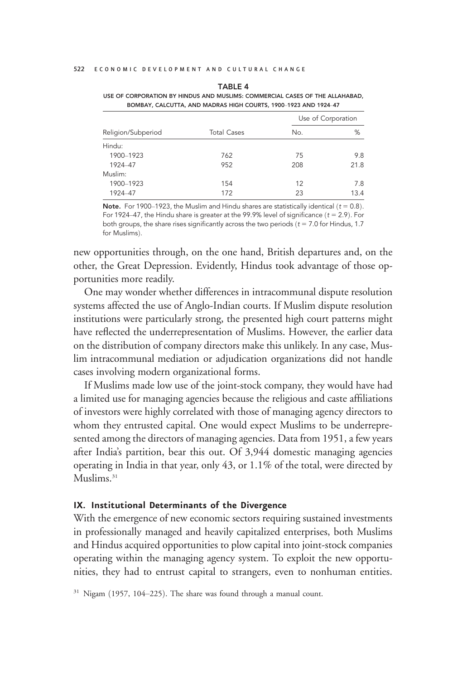|                    |                    | Use of Corporation |      |  |
|--------------------|--------------------|--------------------|------|--|
| Religion/Subperiod | <b>Total Cases</b> | No.                | %    |  |
| Hindu:             |                    |                    |      |  |
| 1900-1923          | 762                | 75                 | 9.8  |  |
| 1924-47            | 952                | 208                | 21.8 |  |
| Muslim:            |                    |                    |      |  |
| 1900-1923          | 154                | 12                 | 7.8  |  |
| 1924-47            | 172                | 23                 | 13.4 |  |

TABLE 4 USE OF CORPORATION BY HINDUS AND MUSLIMS: COMMERCIAL CASES OF THE ALLAHABAD, BOMBAY, CALCUTTA, AND MADRAS HIGH COURTS, 1900–1923 AND 1924–47

Note. For 1900–1923, the Muslim and Hindu shares are statistically identical  $(t = 0.8)$ . For 1924–47, the Hindu share is greater at the 99.9% level of significance ( $t = 2.9$ ). For both groups, the share rises significantly across the two periods ( $t = 7.0$  for Hindus, 1.7 for Muslims).

new opportunities through, on the one hand, British departures and, on the other, the Great Depression. Evidently, Hindus took advantage of those opportunities more readily.

One may wonder whether differences in intracommunal dispute resolution systems affected the use of Anglo-Indian courts. If Muslim dispute resolution institutions were particularly strong, the presented high court patterns might have reflected the underrepresentation of Muslims. However, the earlier data on the distribution of company directors make this unlikely. In any case, Muslim intracommunal mediation or adjudication organizations did not handle cases involving modern organizational forms.

If Muslims made low use of the joint-stock company, they would have had a limited use for managing agencies because the religious and caste affiliations of investors were highly correlated with those of managing agency directors to whom they entrusted capital. One would expect Muslims to be underrepresented among the directors of managing agencies. Data from 1951, a few years after India's partition, bear this out. Of 3,944 domestic managing agencies operating in India in that year, only 43, or 1.1% of the total, were directed by Muslims.<sup>31</sup>

## IX. Institutional Determinants of the Divergence

With the emergence of new economic sectors requiring sustained investments in professionally managed and heavily capitalized enterprises, both Muslims and Hindus acquired opportunities to plow capital into joint-stock companies operating within the managing agency system. To exploit the new opportunities, they had to entrust capital to strangers, even to nonhuman entities.

 $31$  Nigam (1957, 104–225). The share was found through a manual count.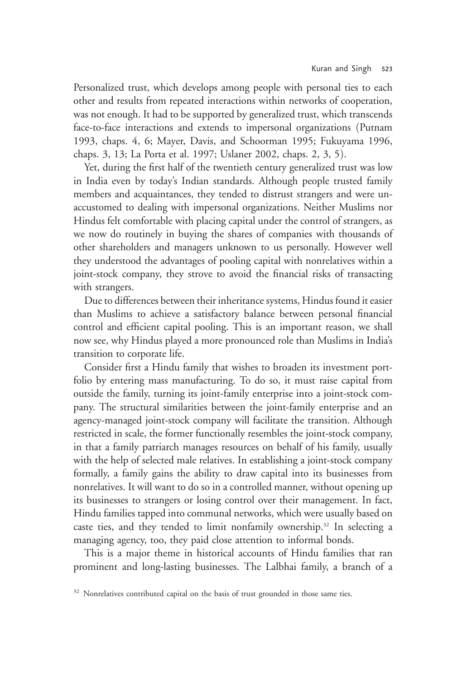Personalized trust, which develops among people with personal ties to each other and results from repeated interactions within networks of cooperation, was not enough. It had to be supported by generalized trust, which transcends face-to-face interactions and extends to impersonal organizations (Putnam 1993, chaps. 4, 6; Mayer, Davis, and Schoorman 1995; Fukuyama 1996, chaps. 3, 13; La Porta et al. 1997; Uslaner 2002, chaps. 2, 3, 5).

Yet, during the first half of the twentieth century generalized trust was low in India even by today's Indian standards. Although people trusted family members and acquaintances, they tended to distrust strangers and were unaccustomed to dealing with impersonal organizations. Neither Muslims nor Hindus felt comfortable with placing capital under the control of strangers, as we now do routinely in buying the shares of companies with thousands of other shareholders and managers unknown to us personally. However well they understood the advantages of pooling capital with nonrelatives within a joint-stock company, they strove to avoid the financial risks of transacting with strangers.

Due to differences between their inheritance systems, Hindus found it easier than Muslims to achieve a satisfactory balance between personal financial control and efficient capital pooling. This is an important reason, we shall now see, why Hindus played a more pronounced role than Muslims in India's transition to corporate life.

Consider first a Hindu family that wishes to broaden its investment portfolio by entering mass manufacturing. To do so, it must raise capital from outside the family, turning its joint-family enterprise into a joint-stock company. The structural similarities between the joint-family enterprise and an agency-managed joint-stock company will facilitate the transition. Although restricted in scale, the former functionally resembles the joint-stock company, in that a family patriarch manages resources on behalf of his family, usually with the help of selected male relatives. In establishing a joint-stock company formally, a family gains the ability to draw capital into its businesses from nonrelatives. It will want to do so in a controlled manner, without opening up its businesses to strangers or losing control over their management. In fact, Hindu families tapped into communal networks, which were usually based on caste ties, and they tended to limit nonfamily ownership.<sup>32</sup> In selecting a managing agency, too, they paid close attention to informal bonds.

This is a major theme in historical accounts of Hindu families that ran prominent and long-lasting businesses. The Lalbhai family, a branch of a

<sup>&</sup>lt;sup>32</sup> Nonrelatives contributed capital on the basis of trust grounded in those same ties.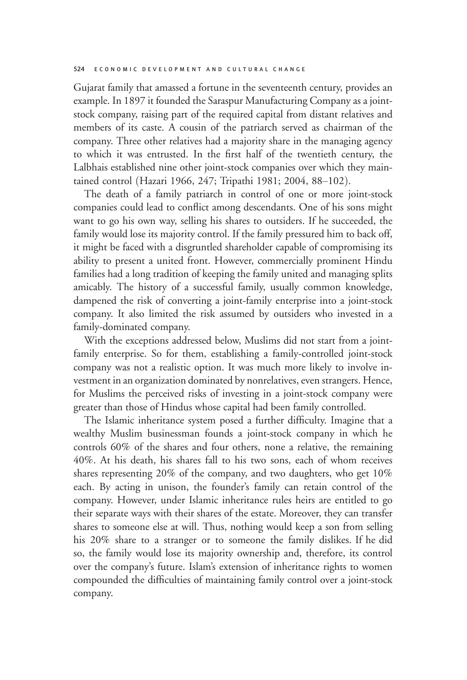Gujarat family that amassed a fortune in the seventeenth century, provides an example. In 1897 it founded the Saraspur Manufacturing Company as a jointstock company, raising part of the required capital from distant relatives and members of its caste. A cousin of the patriarch served as chairman of the company. Three other relatives had a majority share in the managing agency to which it was entrusted. In the first half of the twentieth century, the Lalbhais established nine other joint-stock companies over which they maintained control (Hazari 1966, 247; Tripathi 1981; 2004, 88–102).

The death of a family patriarch in control of one or more joint-stock companies could lead to conflict among descendants. One of his sons might want to go his own way, selling his shares to outsiders. If he succeeded, the family would lose its majority control. If the family pressured him to back off, it might be faced with a disgruntled shareholder capable of compromising its ability to present a united front. However, commercially prominent Hindu families had a long tradition of keeping the family united and managing splits amicably. The history of a successful family, usually common knowledge, dampened the risk of converting a joint-family enterprise into a joint-stock company. It also limited the risk assumed by outsiders who invested in a family-dominated company.

With the exceptions addressed below, Muslims did not start from a jointfamily enterprise. So for them, establishing a family-controlled joint-stock company was not a realistic option. It was much more likely to involve investment in an organization dominated by nonrelatives, even strangers. Hence, for Muslims the perceived risks of investing in a joint-stock company were greater than those of Hindus whose capital had been family controlled.

The Islamic inheritance system posed a further difficulty. Imagine that a wealthy Muslim businessman founds a joint-stock company in which he controls 60% of the shares and four others, none a relative, the remaining 40%. At his death, his shares fall to his two sons, each of whom receives shares representing 20% of the company, and two daughters, who get 10% each. By acting in unison, the founder's family can retain control of the company. However, under Islamic inheritance rules heirs are entitled to go their separate ways with their shares of the estate. Moreover, they can transfer shares to someone else at will. Thus, nothing would keep a son from selling his 20% share to a stranger or to someone the family dislikes. If he did so, the family would lose its majority ownership and, therefore, its control over the company's future. Islam's extension of inheritance rights to women compounded the difficulties of maintaining family control over a joint-stock company.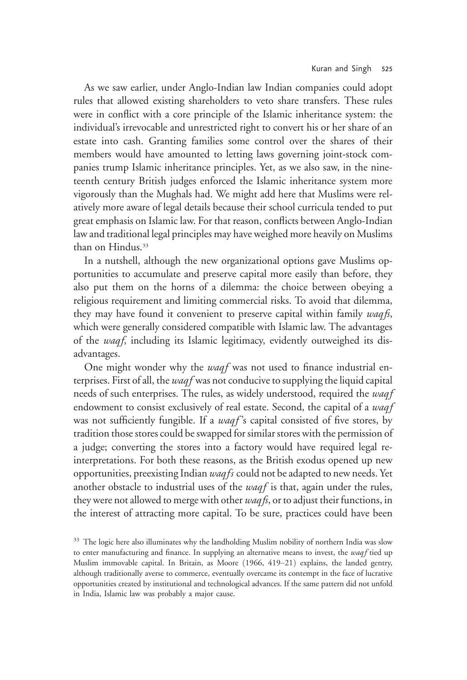As we saw earlier, under Anglo-Indian law Indian companies could adopt rules that allowed existing shareholders to veto share transfers. These rules were in conflict with a core principle of the Islamic inheritance system: the individual's irrevocable and unrestricted right to convert his or her share of an estate into cash. Granting families some control over the shares of their members would have amounted to letting laws governing joint-stock companies trump Islamic inheritance principles. Yet, as we also saw, in the nineteenth century British judges enforced the Islamic inheritance system more vigorously than the Mughals had. We might add here that Muslims were relatively more aware of legal details because their school curricula tended to put great emphasis on Islamic law. For that reason, conflicts between Anglo-Indian law and traditional legal principles may have weighed more heavily on Muslims than on Hindus.<sup>33</sup>

In a nutshell, although the new organizational options gave Muslims opportunities to accumulate and preserve capital more easily than before, they also put them on the horns of a dilemma: the choice between obeying a religious requirement and limiting commercial risks. To avoid that dilemma, they may have found it convenient to preserve capital within family waqfs, which were generally considered compatible with Islamic law. The advantages of the waqf, including its Islamic legitimacy, evidently outweighed its disadvantages.

One might wonder why the *waqf* was not used to finance industrial enterprises. First of all, the waqf was not conducive to supplying the liquid capital needs of such enterprises. The rules, as widely understood, required the waqf endowment to consist exclusively of real estate. Second, the capital of a waqf was not sufficiently fungible. If a *waqf*'s capital consisted of five stores, by tradition those stores could be swapped for similar stores with the permission of a judge; converting the stores into a factory would have required legal reinterpretations. For both these reasons, as the British exodus opened up new opportunities, preexisting Indian waqfs could not be adapted to new needs. Yet another obstacle to industrial uses of the waqf is that, again under the rules, they were not allowed to merge with other  $w a q f s$ , or to adjust their functions, in the interest of attracting more capital. To be sure, practices could have been

<sup>&</sup>lt;sup>33</sup> The logic here also illuminates why the landholding Muslim nobility of northern India was slow to enter manufacturing and finance. In supplying an alternative means to invest, the  $w a q f$  tied up Muslim immovable capital. In Britain, as Moore  $(1966, 419-21)$  explains, the landed gentry, although traditionally averse to commerce, eventually overcame its contempt in the face of lucrative opportunities created by institutional and technological advances. If the same pattern did not unfold in India, Islamic law was probably a major cause.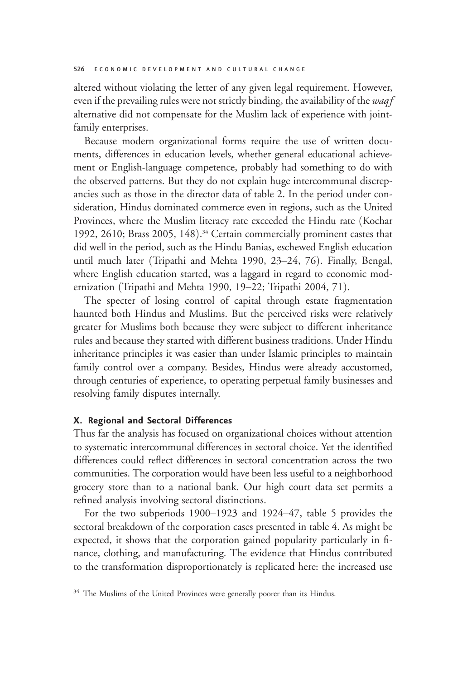altered without violating the letter of any given legal requirement. However, even if the prevailing rules were not strictly binding, the availability of the  $w a q f$ alternative did not compensate for the Muslim lack of experience with jointfamily enterprises.

Because modern organizational forms require the use of written documents, differences in education levels, whether general educational achievement or English-language competence, probably had something to do with the observed patterns. But they do not explain huge intercommunal discrepancies such as those in the director data of table 2. In the period under consideration, Hindus dominated commerce even in regions, such as the United Provinces, where the Muslim literacy rate exceeded the Hindu rate (Kochar 1992, 2610; Brass 2005, 148).<sup>34</sup> Certain commercially prominent castes that did well in the period, such as the Hindu Banias, eschewed English education until much later (Tripathi and Mehta 1990, 23–24, 76). Finally, Bengal, where English education started, was a laggard in regard to economic modernization (Tripathi and Mehta 1990, 19–22; Tripathi 2004, 71).

The specter of losing control of capital through estate fragmentation haunted both Hindus and Muslims. But the perceived risks were relatively greater for Muslims both because they were subject to different inheritance rules and because they started with different business traditions. Under Hindu inheritance principles it was easier than under Islamic principles to maintain family control over a company. Besides, Hindus were already accustomed, through centuries of experience, to operating perpetual family businesses and resolving family disputes internally.

## X. Regional and Sectoral Differences

Thus far the analysis has focused on organizational choices without attention to systematic intercommunal differences in sectoral choice. Yet the identified differences could reflect differences in sectoral concentration across the two communities. The corporation would have been less useful to a neighborhood grocery store than to a national bank. Our high court data set permits a refined analysis involving sectoral distinctions.

For the two subperiods 1900–1923 and 1924–47, table 5 provides the sectoral breakdown of the corporation cases presented in table 4. As might be expected, it shows that the corporation gained popularity particularly in finance, clothing, and manufacturing. The evidence that Hindus contributed to the transformation disproportionately is replicated here: the increased use

<sup>&</sup>lt;sup>34</sup> The Muslims of the United Provinces were generally poorer than its Hindus.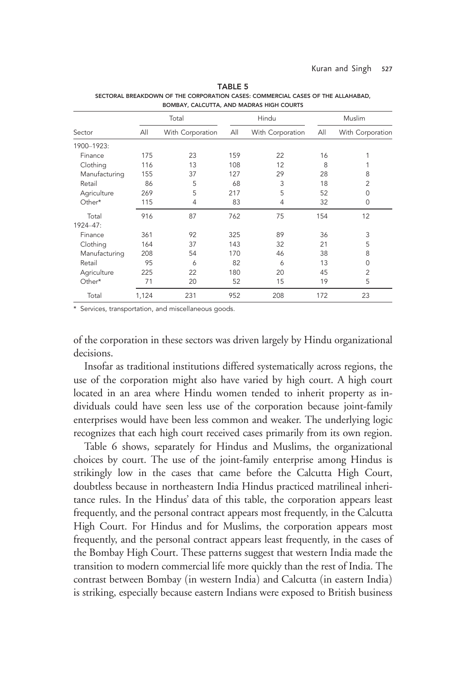|               |       | Total            |     | Hindu            | Muslim |                  |  |
|---------------|-------|------------------|-----|------------------|--------|------------------|--|
| Sector        | All   | With Corporation | All | With Corporation | All    | With Corporation |  |
| 1900-1923:    |       |                  |     |                  |        |                  |  |
| Finance       | 175   | 23               | 159 | 22               | 16     | 1                |  |
| Clothing      | 116   | 13               | 108 | 12               | 8      | 1                |  |
| Manufacturing | 155   | 37               | 127 | 29               | 28     | 8                |  |
| Retail        | 86    | 5                | 68  | 3                | 18     | $\overline{2}$   |  |
| Agriculture   | 269   | 5                | 217 | 5                | 52     | 0                |  |
| Other*        | 115   | 4                | 83  | 4                | 32     | $\mathbf 0$      |  |
| Total         | 916   | 87               | 762 | 75               | 154    | 12               |  |
| 1924-47:      |       |                  |     |                  |        |                  |  |
| Finance       | 361   | 92               | 325 | 89               | 36     | 3                |  |
| Clothing      | 164   | 37               | 143 | 32               | 21     | 5                |  |
| Manufacturing | 208   | 54               | 170 | 46               | 38     | 8                |  |
| Retail        | 95    | 6                | 82  | 6                | 13     | $\mathbf 0$      |  |
| Agriculture   | 225   | 22               | 180 | 20               | 45     | $\overline{2}$   |  |
| Other*        | 71    | 20               | 52  | 15               | 19     | 5                |  |
| Total         | 1,124 | 231              | 952 | 208              | 172    | 23               |  |

TABLE 5 SECTORAL BREAKDOWN OF THE CORPORATION CASES: COMMERCIAL CASES OF THE ALLAHABAD, BOMBAY, CALCUTTA, AND MADRAS HIGH COURTS

\* Services, transportation, and miscellaneous goods.

of the corporation in these sectors was driven largely by Hindu organizational decisions.

Insofar as traditional institutions differed systematically across regions, the use of the corporation might also have varied by high court. A high court located in an area where Hindu women tended to inherit property as individuals could have seen less use of the corporation because joint-family enterprises would have been less common and weaker. The underlying logic recognizes that each high court received cases primarily from its own region.

Table 6 shows, separately for Hindus and Muslims, the organizational choices by court. The use of the joint-family enterprise among Hindus is strikingly low in the cases that came before the Calcutta High Court, doubtless because in northeastern India Hindus practiced matrilineal inheritance rules. In the Hindus' data of this table, the corporation appears least frequently, and the personal contract appears most frequently, in the Calcutta High Court. For Hindus and for Muslims, the corporation appears most frequently, and the personal contract appears least frequently, in the cases of the Bombay High Court. These patterns suggest that western India made the transition to modern commercial life more quickly than the rest of India. The contrast between Bombay (in western India) and Calcutta (in eastern India) is striking, especially because eastern Indians were exposed to British business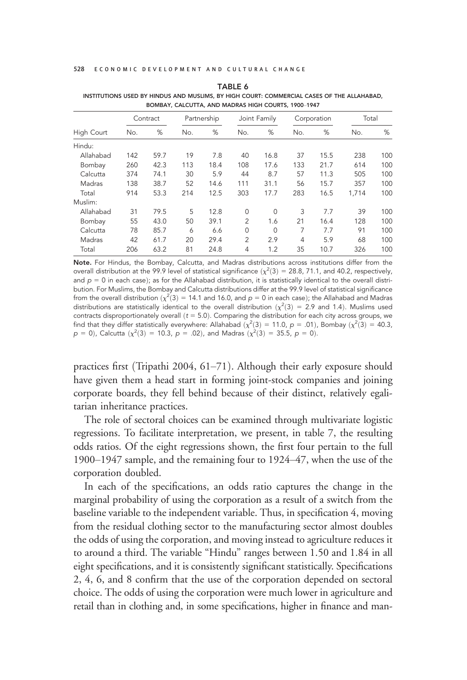|            |     | Contract |     | Partnership |                | Joint Family |     | Corporation | Total |     |
|------------|-----|----------|-----|-------------|----------------|--------------|-----|-------------|-------|-----|
| High Court | No. | %        | No. | %           | No.            | %            | No. | $\%$        | No.   | %   |
| Hindu:     |     |          |     |             |                |              |     |             |       |     |
| Allahabad  | 142 | 59.7     | 19  | 7.8         | 40             | 16.8         | 37  | 15.5        | 238   | 100 |
| Bombay     | 260 | 42.3     | 113 | 18.4        | 108            | 17.6         | 133 | 21.7        | 614   | 100 |
| Calcutta   | 374 | 74.1     | 30  | 5.9         | 44             | 8.7          | 57  | 11.3        | 505   | 100 |
| Madras     | 138 | 38.7     | 52  | 14.6        | 111            | 31.1         | 56  | 15.7        | 357   | 100 |
| Total      | 914 | 53.3     | 214 | 12.5        | 303            | 17.7         | 283 | 16.5        | 1.714 | 100 |
| Muslim:    |     |          |     |             |                |              |     |             |       |     |
| Allahabad  | 31  | 79.5     | 5   | 12.8        | $\Omega$       | $\Omega$     | 3   | 7.7         | 39    | 100 |
| Bombay     | 55  | 43.0     | 50  | 39.1        | $\overline{2}$ | 1.6          | 21  | 16.4        | 128   | 100 |
| Calcutta   | 78  | 85.7     | 6   | 6.6         | $\Omega$       | $\Omega$     | 7   | 7.7         | 91    | 100 |
| Madras     | 42  | 61.7     | 20  | 29.4        | $\overline{2}$ | 2.9          | 4   | 5.9         | 68    | 100 |
| Total      | 206 | 63.2     | 81  | 24.8        | 4              | 1.2          | 35  | 10.7        | 326   | 100 |

TABLE 6 INSTITUTIONS USED BY HINDUS AND MUSLIMS, BY HIGH COURT: COMMERCIAL CASES OF THE ALLAHABAD, BOMBAY, CALCUTTA, AND MADRAS HIGH COURTS, 1900–1947

Note. For Hindus, the Bombay, Calcutta, and Madras distributions across institutions differ from the overall distribution at the 99.9 level of statistical significance  $\chi^2(3) = 28.8$ , 71.1, and 40.2, respectively, and  $p = 0$  in each case); as for the Allahabad distribution, it is statistically identical to the overall distribution. For Muslims, the Bombay and Calcutta distributions differ at the 99.9 level of statistical significance from the overall distribution ( $\chi^2(3) = 14.1$  and 16.0, and  $p = 0$  in each case); the Allahabad and Madras distributions are statistically identical to the overall distribution ( $\chi^2(3) = 2.9$  and 1.4). Muslims used contracts disproportionately overall  $(t = 5.0)$ . Comparing the distribution for each city across groups, we find that they differ statistically everywhere: Allahabad  $(\chi^2(3) = 11.0, p = .01)$ , Bombay  $(\chi^2(3) = 40.3,$  $p = 0$ ), Calcutta ( $\chi^2(3) = 10.3$ ,  $p = .02$ ), and Madras ( $\chi^2(3) = 35.5$ ,  $p = 0$ ).

practices first (Tripathi 2004,  $61-71$ ). Although their early exposure should have given them a head start in forming joint-stock companies and joining corporate boards, they fell behind because of their distinct, relatively egalitarian inheritance practices.

The role of sectoral choices can be examined through multivariate logistic regressions. To facilitate interpretation, we present, in table 7, the resulting odds ratios. Of the eight regressions shown, the first four pertain to the full 1900–1947 sample, and the remaining four to 1924–47, when the use of the corporation doubled.

In each of the specifications, an odds ratio captures the change in the marginal probability of using the corporation as a result of a switch from the baseline variable to the independent variable. Thus, in specification 4, moving from the residual clothing sector to the manufacturing sector almost doubles the odds of using the corporation, and moving instead to agriculture reduces it to around a third. The variable "Hindu" ranges between 1.50 and 1.84 in all eight specifications, and it is consistently significant statistically. Specifications 2, 4, 6, and 8 confirm that the use of the corporation depended on sectoral choice. The odds of using the corporation were much lower in agriculture and retail than in clothing and, in some specifications, higher in finance and man-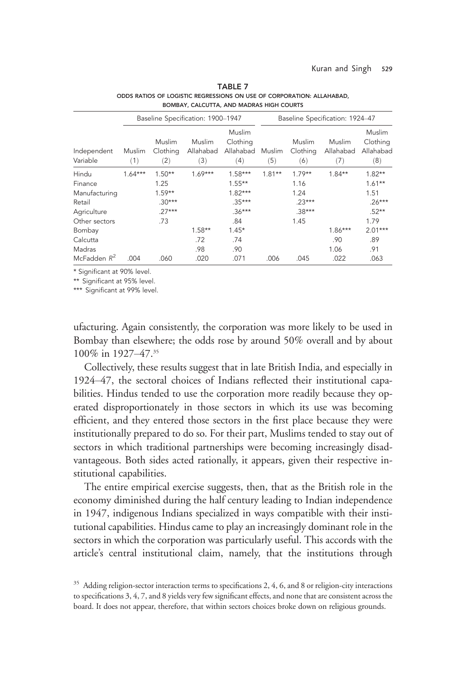|                                                                 |               |                                                      | Baseline Specification: 1900-1947 |                                                             | Baseline Specification: 1924-47 |                                                   |                                  |                                                      |  |
|-----------------------------------------------------------------|---------------|------------------------------------------------------|-----------------------------------|-------------------------------------------------------------|---------------------------------|---------------------------------------------------|----------------------------------|------------------------------------------------------|--|
| Independent<br>Variable                                         | Muslim<br>(1) | Muslim<br>Clothing<br>(2)                            | Muslim<br>Allahabad<br>(3)        | Muslim<br>Clothing<br>Allahabad<br>(4)                      | Muslim<br>(5)                   | Muslim<br>Clothing<br>(6)                         | Muslim<br>Allahabad<br>(7)       | Muslim<br>Clothing<br>Allahabad<br>(8)               |  |
| Hindu<br>Finance<br>Manufacturing<br>Retail<br>Agriculture      | $1.64***$     | $1.50**$<br>1.25<br>$1.59**$<br>$.30***$<br>$.27***$ | $1.69***$                         | $1.58***$<br>$1.55***$<br>$1.82***$<br>$.35***$<br>$.36***$ | $1.81**$                        | $1.79***$<br>1.16<br>1.24<br>$.23***$<br>$.38***$ | $1.84***$                        | $1.82**$<br>$1.61***$<br>1.51<br>$.26***$<br>$.52**$ |  |
| Other sectors<br>Bombay<br>Calcutta<br>Madras<br>McFadden $R^2$ | .004          | .73<br>.060                                          | $1.58**$<br>.72<br>.98<br>.020    | .84<br>$1.45*$<br>.74<br>.90<br>.071                        | .006                            | 1.45<br>.045                                      | $1.86***$<br>.90<br>1.06<br>.022 | 1.79<br>$2.01***$<br>.89<br>.91<br>.063              |  |

TABLE 7 ODDS RATIOS OF LOGISTIC REGRESSIONS ON USE OF CORPORATION: ALLAHABAD, BOMBAY, CALCUTTA, AND MADRAS HIGH COURTS

\* Significant at 90% level.

\*\* Significant at 95% level.

\*\*\* Significant at 99% level.

ufacturing. Again consistently, the corporation was more likely to be used in Bombay than elsewhere; the odds rose by around 50% overall and by about 100% in 1927–47.35

Collectively, these results suggest that in late British India, and especially in 1924–47, the sectoral choices of Indians reflected their institutional capabilities. Hindus tended to use the corporation more readily because they operated disproportionately in those sectors in which its use was becoming efficient, and they entered those sectors in the first place because they were institutionally prepared to do so. For their part, Muslims tended to stay out of sectors in which traditional partnerships were becoming increasingly disadvantageous. Both sides acted rationally, it appears, given their respective institutional capabilities.

The entire empirical exercise suggests, then, that as the British role in the economy diminished during the half century leading to Indian independence in 1947, indigenous Indians specialized in ways compatible with their institutional capabilities. Hindus came to play an increasingly dominant role in the sectors in which the corporation was particularly useful. This accords with the article's central institutional claim, namely, that the institutions through

<sup>&</sup>lt;sup>35</sup> Adding religion-sector interaction terms to specifications 2, 4, 6, and 8 or religion-city interactions to specifications 3, 4, 7, and 8 yields very few significant effects, and none that are consistent across the board. It does not appear, therefore, that within sectors choices broke down on religious grounds.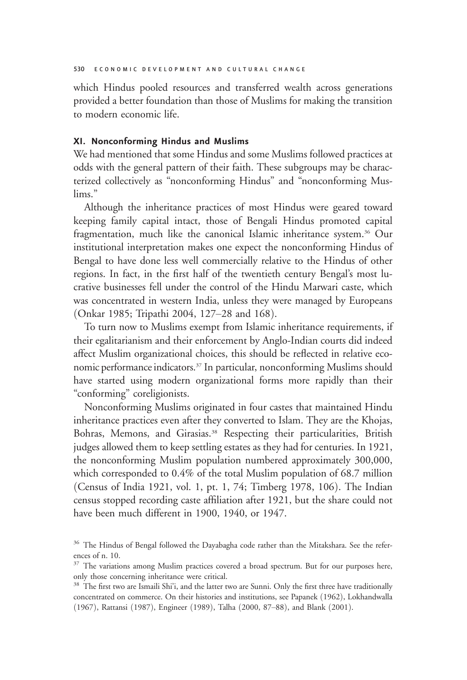which Hindus pooled resources and transferred wealth across generations provided a better foundation than those of Muslims for making the transition to modern economic life.

## XI. Nonconforming Hindus and Muslims

We had mentioned that some Hindus and some Muslims followed practices at odds with the general pattern of their faith. These subgroups may be characterized collectively as "nonconforming Hindus" and "nonconforming Muslims."

Although the inheritance practices of most Hindus were geared toward keeping family capital intact, those of Bengali Hindus promoted capital fragmentation, much like the canonical Islamic inheritance system.<sup>36</sup> Our institutional interpretation makes one expect the nonconforming Hindus of Bengal to have done less well commercially relative to the Hindus of other regions. In fact, in the first half of the twentieth century Bengal's most lucrative businesses fell under the control of the Hindu Marwari caste, which was concentrated in western India, unless they were managed by Europeans (Onkar 1985; Tripathi 2004, 127–28 and 168).

To turn now to Muslims exempt from Islamic inheritance requirements, if their egalitarianism and their enforcement by Anglo-Indian courts did indeed affect Muslim organizational choices, this should be reflected in relative economic performance indicators.37 In particular, nonconforming Muslims should have started using modern organizational forms more rapidly than their "conforming" coreligionists.

Nonconforming Muslims originated in four castes that maintained Hindu inheritance practices even after they converted to Islam. They are the Khojas, Bohras, Memons, and Girasias.<sup>38</sup> Respecting their particularities, British judges allowed them to keep settling estates as they had for centuries. In 1921, the nonconforming Muslim population numbered approximately 300,000, which corresponded to 0.4% of the total Muslim population of 68.7 million (Census of India 1921, vol. 1, pt. 1, 74; Timberg 1978, 106). The Indian census stopped recording caste affiliation after 1921, but the share could not have been much different in 1900, 1940, or 1947.

<sup>&</sup>lt;sup>36</sup> The Hindus of Bengal followed the Dayabagha code rather than the Mitakshara. See the references of n. 10.

<sup>&</sup>lt;sup>37</sup> The variations among Muslim practices covered a broad spectrum. But for our purposes here, only those concerning inheritance were critical.

<sup>&</sup>lt;sup>38</sup> The first two are Ismaili Shi'i, and the latter two are Sunni. Only the first three have traditionally concentrated on commerce. On their histories and institutions, see Papanek (1962), Lokhandwalla (1967), Rattansi (1987), Engineer (1989), Talha (2000, 87–88), and Blank (2001).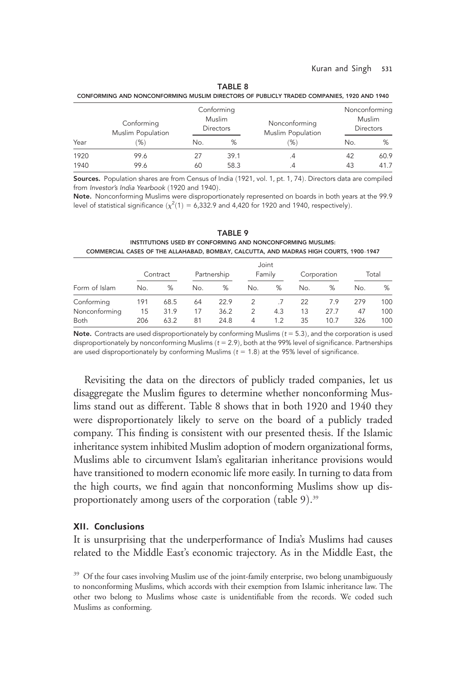| Year         | Conforming<br>Muslim Population | Conforming<br>Muslim<br><b>Directors</b> |              | Nonconforming<br>Muslim Population |          | Nonconforming<br>Muslim<br><b>Directors</b> |  |
|--------------|---------------------------------|------------------------------------------|--------------|------------------------------------|----------|---------------------------------------------|--|
|              | %)                              | No.                                      | %            | '%)                                | No.      | %                                           |  |
| 1920<br>1940 | 99.6<br>99.6                    | 27<br>60                                 | 39.1<br>58.3 | .4                                 | 42<br>43 | 60.9<br>41.7                                |  |

TABLE 8 CONFORMING AND NONCONFORMING MUSLIM DIRECTORS OF PUBLICLY TRADED COMPANIES, 1920 AND 1940

Sources. Population shares are from Census of India (1921, vol. 1, pt. 1, 74). Directors data are compiled from Investor's India Yearbook (1920 and 1940).

Note. Nonconforming Muslims were disproportionately represented on boards in both years at the 99.9 level of statistical significance  $(\chi^2(1) = 6,332.9$  and 4,420 for 1920 and 1940, respectively).

| TABLE 9                                                                                |
|----------------------------------------------------------------------------------------|
| INSTITUTIONS USED BY CONFORMING AND NONCONFORMING MUSLIMS:                             |
| COMMERCIAL CASES OF THE ALLAHABAD, BOMBAY, CALCUTTA, AND MADRAS HIGH COURTS, 1900–1947 |
|                                                                                        |

| Form of Islam |     | Contract |     | Partnership | Family | Joint |     | Corporation |     | Total |
|---------------|-----|----------|-----|-------------|--------|-------|-----|-------------|-----|-------|
|               | No. | %        | No. | %           | No.    | %     | No. | %           | No. | %     |
| Conforming    | 191 | 68.5     | 64  | 22.9        |        |       | 22  | 7.9         | 279 | 100   |
| Nonconforming | 15  | 31.9     | 17  | 36.2        | 2      | 4.3   | 13  | 27.7        | 47  | 100   |
| <b>Both</b>   | 206 | 63.2     | 81  | 24.8        | 4      | 1.2   | 35  | 10.7        | 326 | 100   |

Note. Contracts are used disproportionately by conforming Muslims  $(t = 5.3)$ , and the corporation is used disproportionately by nonconforming Muslims  $(t = 2.9)$ , both at the 99% level of significance. Partnerships are used disproportionately by conforming Muslims ( $t = 1.8$ ) at the 95% level of significance.

Revisiting the data on the directors of publicly traded companies, let us disaggregate the Muslim figures to determine whether nonconforming Muslims stand out as different. Table 8 shows that in both 1920 and 1940 they were disproportionately likely to serve on the board of a publicly traded company. This finding is consistent with our presented thesis. If the Islamic inheritance system inhibited Muslim adoption of modern organizational forms, Muslims able to circumvent Islam's egalitarian inheritance provisions would have transitioned to modern economic life more easily. In turning to data from the high courts, we find again that nonconforming Muslims show up disproportionately among users of the corporation (table  $9$ ).<sup>39</sup>

## XII. Conclusions

It is unsurprising that the underperformance of India's Muslims had causes related to the Middle East's economic trajectory. As in the Middle East, the

<sup>&</sup>lt;sup>39</sup> Of the four cases involving Muslim use of the joint-family enterprise, two belong unambiguously to nonconforming Muslims, which accords with their exemption from Islamic inheritance law. The other two belong to Muslims whose caste is unidentifiable from the records. We coded such Muslims as conforming.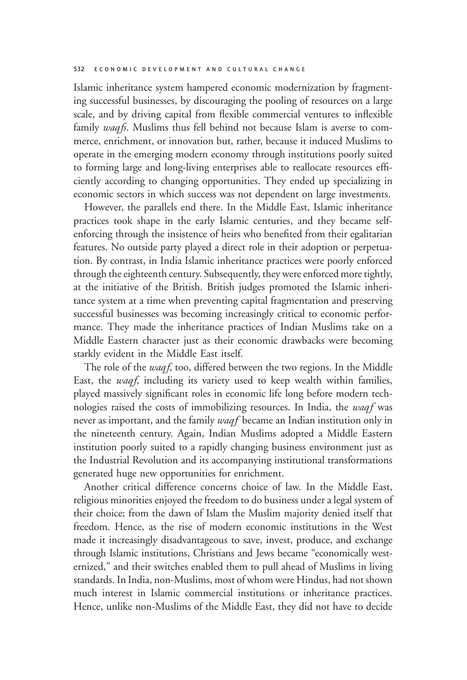Islamic inheritance system hampered economic modernization by fragmenting successful businesses, by discouraging the pooling of resources on a large scale, and by driving capital from flexible commercial ventures to inflexible family waqfs. Muslims thus fell behind not because Islam is averse to commerce, enrichment, or innovation but, rather, because it induced Muslims to operate in the emerging modern economy through institutions poorly suited to forming large and long-living enterprises able to reallocate resources efficiently according to changing opportunities. They ended up specializing in economic sectors in which success was not dependent on large investments.

However, the parallels end there. In the Middle East, Islamic inheritance practices took shape in the early Islamic centuries, and they became selfenforcing through the insistence of heirs who benefited from their egalitarian features. No outside party played a direct role in their adoption or perpetuation. By contrast, in India Islamic inheritance practices were poorly enforced through the eighteenth century. Subsequently, they were enforced more tightly, at the initiative of the British. British judges promoted the Islamic inheritance system at a time when preventing capital fragmentation and preserving successful businesses was becoming increasingly critical to economic performance. They made the inheritance practices of Indian Muslims take on a Middle Eastern character just as their economic drawbacks were becoming starkly evident in the Middle East itself.

The role of the *waqf*, too, differed between the two regions. In the Middle East, the waqf, including its variety used to keep wealth within families, played massively significant roles in economic life long before modern technologies raised the costs of immobilizing resources. In India, the waqf was never as important, and the family waqf became an Indian institution only in the nineteenth century. Again, Indian Muslims adopted a Middle Eastern institution poorly suited to a rapidly changing business environment just as the Industrial Revolution and its accompanying institutional transformations generated huge new opportunities for enrichment.

Another critical difference concerns choice of law. In the Middle East, religious minorities enjoyed the freedom to do business under a legal system of their choice; from the dawn of Islam the Muslim majority denied itself that freedom. Hence, as the rise of modern economic institutions in the West made it increasingly disadvantageous to save, invest, produce, and exchange through Islamic institutions, Christians and Jews became "economically westernized," and their switches enabled them to pull ahead of Muslims in living standards. In India, non-Muslims, most of whom were Hindus, had not shown much interest in Islamic commercial institutions or inheritance practices. Hence, unlike non-Muslims of the Middle East, they did not have to decide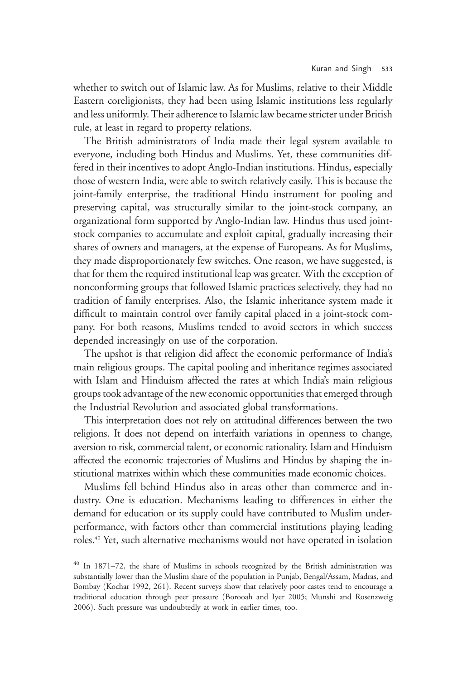whether to switch out of Islamic law. As for Muslims, relative to their Middle Eastern coreligionists, they had been using Islamic institutions less regularly and less uniformly. Their adherence to Islamic law became stricter under British rule, at least in regard to property relations.

The British administrators of India made their legal system available to everyone, including both Hindus and Muslims. Yet, these communities differed in their incentives to adopt Anglo-Indian institutions. Hindus, especially those of western India, were able to switch relatively easily. This is because the joint-family enterprise, the traditional Hindu instrument for pooling and preserving capital, was structurally similar to the joint-stock company, an organizational form supported by Anglo-Indian law. Hindus thus used jointstock companies to accumulate and exploit capital, gradually increasing their shares of owners and managers, at the expense of Europeans. As for Muslims, they made disproportionately few switches. One reason, we have suggested, is that for them the required institutional leap was greater. With the exception of nonconforming groups that followed Islamic practices selectively, they had no tradition of family enterprises. Also, the Islamic inheritance system made it difficult to maintain control over family capital placed in a joint-stock company. For both reasons, Muslims tended to avoid sectors in which success depended increasingly on use of the corporation.

The upshot is that religion did affect the economic performance of India's main religious groups. The capital pooling and inheritance regimes associated with Islam and Hinduism affected the rates at which India's main religious groups took advantage of the new economic opportunities that emerged through the Industrial Revolution and associated global transformations.

This interpretation does not rely on attitudinal differences between the two religions. It does not depend on interfaith variations in openness to change, aversion to risk, commercial talent, or economic rationality. Islam and Hinduism affected the economic trajectories of Muslims and Hindus by shaping the institutional matrixes within which these communities made economic choices.

Muslims fell behind Hindus also in areas other than commerce and industry. One is education. Mechanisms leading to differences in either the demand for education or its supply could have contributed to Muslim underperformance, with factors other than commercial institutions playing leading roles.40 Yet, such alternative mechanisms would not have operated in isolation

<sup>&</sup>lt;sup>40</sup> In 1871–72, the share of Muslims in schools recognized by the British administration was substantially lower than the Muslim share of the population in Punjab, Bengal/Assam, Madras, and Bombay (Kochar 1992, 261). Recent surveys show that relatively poor castes tend to encourage a traditional education through peer pressure (Borooah and Iyer 2005; Munshi and Rosenzweig 2006). Such pressure was undoubtedly at work in earlier times, too.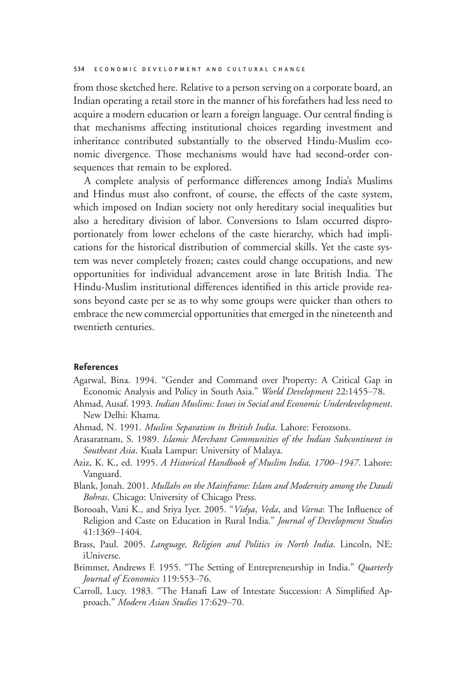from those sketched here. Relative to a person serving on a corporate board, an Indian operating a retail store in the manner of his forefathers had less need to acquire a modern education or learn a foreign language. Our central finding is that mechanisms affecting institutional choices regarding investment and inheritance contributed substantially to the observed Hindu-Muslim economic divergence. Those mechanisms would have had second-order consequences that remain to be explored.

A complete analysis of performance differences among India's Muslims and Hindus must also confront, of course, the effects of the caste system, which imposed on Indian society not only hereditary social inequalities but also a hereditary division of labor. Conversions to Islam occurred disproportionately from lower echelons of the caste hierarchy, which had implications for the historical distribution of commercial skills. Yet the caste system was never completely frozen; castes could change occupations, and new opportunities for individual advancement arose in late British India. The Hindu-Muslim institutional differences identified in this article provide reasons beyond caste per se as to why some groups were quicker than others to embrace the new commercial opportunities that emerged in the nineteenth and twentieth centuries.

#### References

- Agarwal, Bina. 1994. "Gender and Command over Property: A Critical Gap in Economic Analysis and Policy in South Asia." World Development 22:1455–78.
- Ahmad, Ausaf. 1993. Indian Muslims: Issues in Social and Economic Underdevelopment. New Delhi: Khama.
- Ahmad, N. 1991. Muslim Separatism in British India. Lahore: Ferozsons.
- Arasaratnam, S. 1989. Islamic Merchant Communities of the Indian Subcontinent in Southeast Asia. Kuala Lampur: University of Malaya.
- Aziz, K. K., ed. 1995. A Historical Handbook of Muslim India, 1700–1947. Lahore: Vanguard.
- Blank, Jonah. 2001. Mullahs on the Mainframe: Islam and Modernity among the Daudi Bohras. Chicago: University of Chicago Press.
- Borooah, Vani K., and Sriya Iyer. 2005. "Vidya, Veda, and Varna: The Influence of Religion and Caste on Education in Rural India." Journal of Development Studies 41:1369–1404.
- Brass, Paul. 2005. Language, Religion and Politics in North India. Lincoln, NE: iUniverse.
- Brimmer, Andrews F. 1955. "The Setting of Entrepreneurship in India." Quarterly Journal of Economics 119:553–76.
- Carroll, Lucy. 1983. "The Hanafi Law of Intestate Succession: A Simplified Approach." Modern Asian Studies 17:629–70.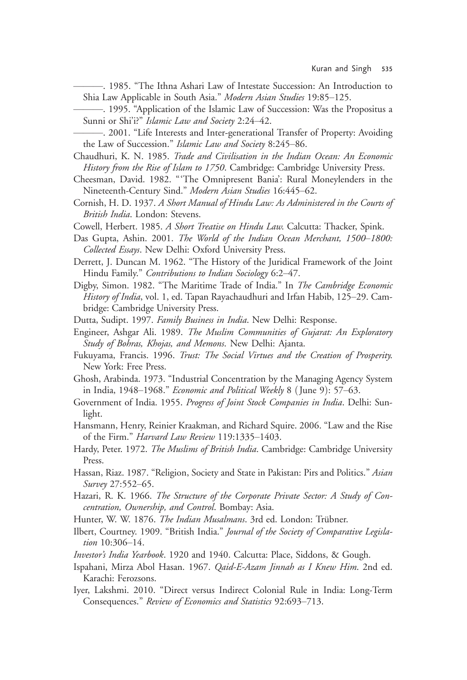———. 1985. "The Ithna Ashari Law of Intestate Succession: An Introduction to Shia Law Applicable in South Asia." Modern Asian Studies 19:85–125.

- ———. 1995. "Application of the Islamic Law of Succession: Was the Propositus a Sunni or Shi'i?" Islamic Law and Society 2:24-42.
- ———. 2001. "Life Interests and Inter-generational Transfer of Property: Avoiding the Law of Succession." Islamic Law and Society 8:245-86.
- Chaudhuri, K. N. 1985. Trade and Civilisation in the Indian Ocean: An Economic History from the Rise of Islam to 1750. Cambridge: Cambridge University Press.
- Cheesman, David. 1982. "'The Omnipresent Bania': Rural Moneylenders in the Nineteenth-Century Sind." Modern Asian Studies 16:445–62.
- Cornish, H. D. 1937. A Short Manual of Hindu Law: As Administered in the Courts of British India. London: Stevens.
- Cowell, Herbert. 1985. A Short Treatise on Hindu Law. Calcutta: Thacker, Spink.
- Das Gupta, Ashin. 2001. The World of the Indian Ocean Merchant, 1500–1800: Collected Essays. New Delhi: Oxford University Press.
- Derrett, J. Duncan M. 1962. "The History of the Juridical Framework of the Joint Hindu Family." Contributions to Indian Sociology 6:2-47.
- Digby, Simon. 1982. "The Maritime Trade of India." In The Cambridge Economic History of India, vol. 1, ed. Tapan Rayachaudhuri and Irfan Habib, 125–29. Cambridge: Cambridge University Press.
- Dutta, Sudipt. 1997. Family Business in India. New Delhi: Response.
- Engineer, Ashgar Ali. 1989. The Muslim Communities of Gujarat: An Exploratory Study of Bohras, Khojas, and Memons. New Delhi: Ajanta.
- Fukuyama, Francis. 1996. Trust: The Social Virtues and the Creation of Prosperity. New York: Free Press.
- Ghosh, Arabinda. 1973. "Industrial Concentration by the Managing Agency System in India, 1948–1968." Economic and Political Weekly 8 (June 9):  $57-63$ .
- Government of India. 1955. Progress of Joint Stock Companies in India. Delhi: Sunlight.
- Hansmann, Henry, Reinier Kraakman, and Richard Squire. 2006. "Law and the Rise of the Firm." Harvard Law Review 119:1335–1403.
- Hardy, Peter. 1972. The Muslims of British India. Cambridge: Cambridge University Press.
- Hassan, Riaz. 1987. "Religion, Society and State in Pakistan: Pirs and Politics." Asian Survey 27:552–65.
- Hazari, R. K. 1966. The Structure of the Corporate Private Sector: A Study of Concentration, Ownership, and Control. Bombay: Asia.
- Hunter, W. W. 1876. The Indian Musalmans. 3rd ed. London: Trübner.
- Ilbert, Courtney. 1909. "British India." Journal of the Society of Comparative Legislation 10:306–14.
- Investor's India Yearbook. 1920 and 1940. Calcutta: Place, Siddons, & Gough.
- Ispahani, Mirza Abol Hasan. 1967. *Qaid-E-Azam Jinnah as I Knew Him*. 2nd ed. Karachi: Ferozsons.
- Iyer, Lakshmi. 2010. "Direct versus Indirect Colonial Rule in India: Long-Term Consequences." Review of Economics and Statistics 92:693–713.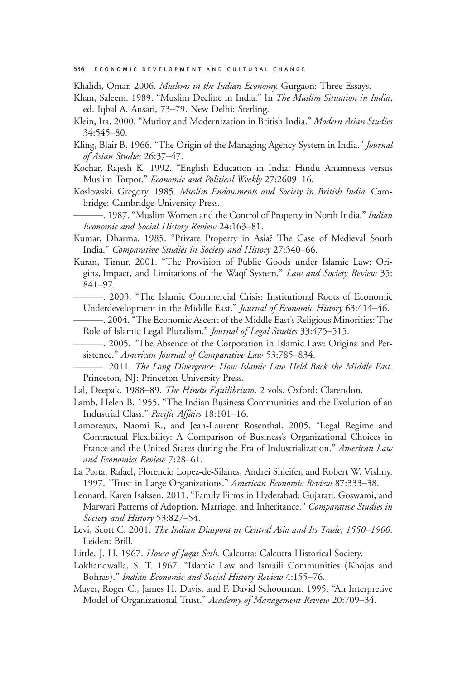Khalidi, Omar. 2006. *Muslims in the Indian Economy*. Gurgaon: Three Essays.

- Khan, Saleem. 1989. "Muslim Decline in India." In The Muslim Situation in India, ed. Iqbal A. Ansari, 73–79. New Delhi: Sterling.
- Klein, Ira. 2000. "Mutiny and Modernization in British India." Modern Asian Studies 34:545–80.
- Kling, Blair B. 1966. "The Origin of the Managing Agency System in India." Journal of Asian Studies 26:37–47.
- Kochar, Rajesh K. 1992. "English Education in India: Hindu Anamnesis versus Muslim Torpor." Economic and Political Weekly 27:2609–16.
- Koslowski, Gregory. 1985. Muslim Endowments and Society in British India. Cambridge: Cambridge University Press.
- -. 1987. "Muslim Women and the Control of Property in North India." Indian Economic and Social History Review 24:163–81.
- Kumar, Dharma. 1985. "Private Property in Asia? The Case of Medieval South India." Comparative Studies in Society and History 27:340–66.
- Kuran, Timur. 2001. "The Provision of Public Goods under Islamic Law: Origins, Impact, and Limitations of the Waqf System." Law and Society Review 35: 841–97.
	- ———. 2003. "The Islamic Commercial Crisis: Institutional Roots of Economic Underdevelopment in the Middle East." Journal of Economic History 63:414–46.
- ———. 2004. "The Economic Ascent of the Middle East's Religious Minorities: The Role of Islamic Legal Pluralism." Journal of Legal Studies 33:475–515.
- ———. 2005. "The Absence of the Corporation in Islamic Law: Origins and Persistence." American Journal of Comparative Law 53:785–834.
- ———. 2011. The Long Divergence: How Islamic Law Held Back the Middle East. Princeton, NJ: Princeton University Press.
- Lal, Deepak. 1988–89. The Hindu Equilibrium. 2 vols. Oxford: Clarendon.
- Lamb, Helen B. 1955. "The Indian Business Communities and the Evolution of an Industrial Class." Pacific Affairs 18:101–16.
- Lamoreaux, Naomi R., and Jean-Laurent Rosenthal. 2005. "Legal Regime and Contractual Flexibility: A Comparison of Business's Organizational Choices in France and the United States during the Era of Industrialization." American Law and Economics Review 7:28–61.
- La Porta, Rafael, Florencio Lopez-de-Silanes, Andrei Shleifer, and Robert W. Vishny. 1997. "Trust in Large Organizations." American Economic Review 87:333-38.
- Leonard, Karen Isaksen. 2011. "Family Firms in Hyderabad: Gujarati, Goswami, and Marwari Patterns of Adoption, Marriage, and Inheritance." Comparative Studies in Society and History 53:827–54.
- Levi, Scott C. 2001. The Indian Diaspora in Central Asia and Its Trade, 1550-1900. Leiden: Brill.
- Little, J. H. 1967. House of Jagat Seth. Calcutta: Calcutta Historical Society.
- Lokhandwalla, S. T. 1967. "Islamic Law and Ismaili Communities (Khojas and Bohras)." Indian Economic and Social History Review 4:155–76.
- Mayer, Roger C., James H. Davis, and F. David Schoorman. 1995. "An Interpretive Model of Organizational Trust." Academy of Management Review 20:709–34.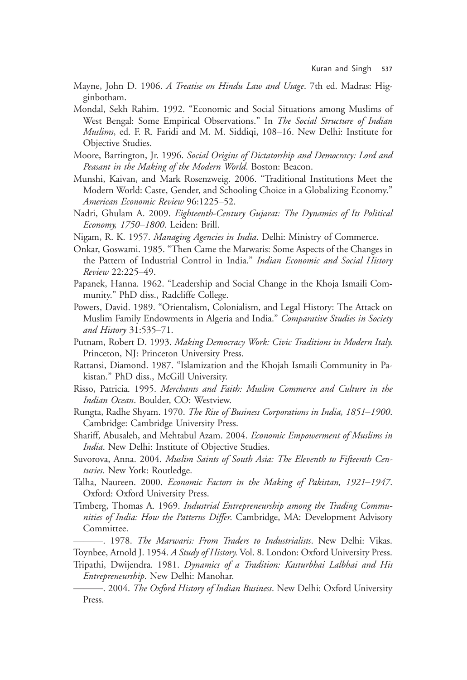- Mayne, John D. 1906. A Treatise on Hindu Law and Usage. 7th ed. Madras: Higginbotham.
- Mondal, Sekh Rahim. 1992. "Economic and Social Situations among Muslims of West Bengal: Some Empirical Observations." In The Social Structure of Indian Muslims, ed. F. R. Faridi and M. M. Siddiqi, 108–16. New Delhi: Institute for Objective Studies.
- Moore, Barrington, Jr. 1996. Social Origins of Dictatorship and Democracy: Lord and Peasant in the Making of the Modern World. Boston: Beacon.
- Munshi, Kaivan, and Mark Rosenzweig. 2006. "Traditional Institutions Meet the Modern World: Caste, Gender, and Schooling Choice in a Globalizing Economy." American Economic Review 96:1225–52.
- Nadri, Ghulam A. 2009. Eighteenth-Century Gujarat: The Dynamics of Its Political Economy, 1750–1800. Leiden: Brill.
- Nigam, R. K. 1957. Managing Agencies in India. Delhi: Ministry of Commerce.
- Onkar, Goswami. 1985. "Then Came the Marwaris: Some Aspects of the Changes in the Pattern of Industrial Control in India." Indian Economic and Social History Review 22:225–49.
- Papanek, Hanna. 1962. "Leadership and Social Change in the Khoja Ismaili Community." PhD diss., Radcliffe College.
- Powers, David. 1989. "Orientalism, Colonialism, and Legal History: The Attack on Muslim Family Endowments in Algeria and India." Comparative Studies in Society and History 31:535–71.
- Putnam, Robert D. 1993. Making Democracy Work: Civic Traditions in Modern Italy. Princeton, NJ: Princeton University Press.
- Rattansi, Diamond. 1987. "Islamization and the Khojah Ismaili Community in Pakistan." PhD diss., McGill University.
- Risso, Patricia. 1995. Merchants and Faith: Muslim Commerce and Culture in the Indian Ocean. Boulder, CO: Westview.
- Rungta, Radhe Shyam. 1970. The Rise of Business Corporations in India, 1851–1900. Cambridge: Cambridge University Press.
- Shariff, Abusaleh, and Mehtabul Azam. 2004. Economic Empowerment of Muslims in India. New Delhi: Institute of Objective Studies.
- Suvorova, Anna. 2004. Muslim Saints of South Asia: The Eleventh to Fifteenth Centuries. New York: Routledge.
- Talha, Naureen. 2000. Economic Factors in the Making of Pakistan, 1921-1947. Oxford: Oxford University Press.
- Timberg, Thomas A. 1969. Industrial Entrepreneurship among the Trading Communities of India: How the Patterns Differ. Cambridge, MA: Development Advisory Committee.
- -. 1978. The Marwaris: From Traders to Industrialists. New Delhi: Vikas.

Toynbee, Arnold J. 1954. A Study of History. Vol. 8. London: Oxford University Press.

- Tripathi, Dwijendra. 1981. Dynamics of a Tradition: Kasturbhai Lalbhai and His Entrepreneurship. New Delhi: Manohar.
- –. 2004. *The Oxford History of Indian Business*. New Delhi: Oxford University Press.